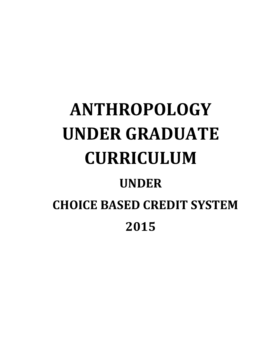# **ANTHROPOLOGY UNDER GRADUATE CURRICULUM UNDER CHOICE BASED CREDIT SYSTEM 2015**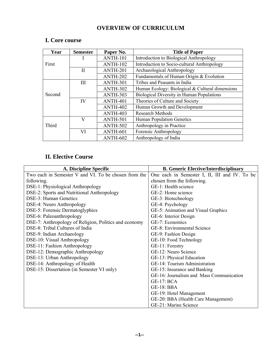# **OVERVIEW OF CURRICULUM**

| Year   | <b>Semester</b> | Paper No.       | <b>Title of Paper</b>                            |
|--------|-----------------|-----------------|--------------------------------------------------|
|        |                 | <b>ANTH-101</b> | Introduction to Biological Anthropology          |
| First  |                 | <b>ANTH-102</b> | Introduction to Socio-cultural Anthropology      |
|        | П               | ANTH-201        | Archaeological Anthropology                      |
|        |                 | ANTH-202        | Fundamentals of Human Origin & Evolution         |
|        | III             | ANTH-301        | Tribes and Peasants in India                     |
|        |                 | <b>ANTH-302</b> | Human Ecology: Biological & Cultural dimensions  |
| Second |                 | ANTH-303        | <b>Biological Diversity in Human Populations</b> |
|        | IV              | ANTH-401        | Theories of Culture and Society                  |
|        |                 | ANTH-402        | Human Growth and Development                     |
|        |                 | ANTH-403        | <b>Research Methods</b>                          |
|        | V               | ANTH-501        | Human Population Genetics                        |
| Third  |                 | <b>ANTH-502</b> | Anthropology in Practice                         |
|        | VI              | ANTH-601        | Forensic Anthropology                            |
|        |                 | ANTH-602        | Anthropology of India                            |

# **I. Core course**

# **II. Elective Course**

| A. Discipline Specific                                | <b>B. Generic Elective/Interdisciplinary</b>  |  |
|-------------------------------------------------------|-----------------------------------------------|--|
| Two each in Semester V and VI. To be chosen from the  | One each in Semester I, II, III and IV. To be |  |
| following.                                            | chosen from the following.                    |  |
| DSE-1: Physiological Anthropology                     | GE-1: Health science                          |  |
| DSE-2: Sports and Nutritional Anthropology            | GE-2: Home science                            |  |
| DSE-3: Human Genetics                                 | GE-3: Biotechnology                           |  |
| DSE-4: Neuro Anthropology                             | GE-4: Psychology                              |  |
| DSE-5: Forensic Dermatoglyphics                       | GE-5: Animation and Visual Graphics           |  |
| DSE-6: Paleoanthropology                              | GE-6: Interior Design                         |  |
| DSE-7: Anthropology of Religion, Politics and economy | GE-7: Economics                               |  |
| DSE-8: Tribal Cultures of India                       | GE-8: Environmental Science                   |  |
| DSE-9: Indian Archaeology                             | GE-9: Fashion Design                          |  |
| DSE-10: Visual Anthropology                           | GE-10: Food Technology                        |  |
| DSE-11: Fashion Anthropology                          | GE-11: Forestry                               |  |
| DSE-12: Demographic Anthropology                      | GE-12: Neuro Science                          |  |
| DSE-13: Urban Anthropology                            | GE-13: Physical Education                     |  |
| DSE-14: Anthropology of Health                        | GE-14: Tourism Administration                 |  |
| DSE-15: Dissertation (in Semester VI only)            | GE-15: Insurance and Banking                  |  |
|                                                       | GE-16: Journalism and Mass Communication      |  |
|                                                       | <b>GE-17: BCA</b>                             |  |
|                                                       | <b>GE-18: BBA</b>                             |  |
|                                                       | GE-19: Hotel Management                       |  |
|                                                       | GE-20: BBA (Health Care Management)           |  |
|                                                       | GE-21: Marine Science                         |  |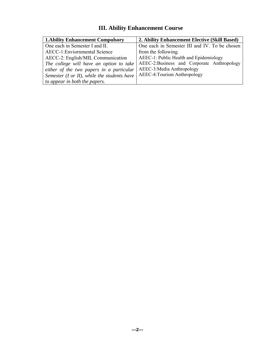#### **1.Ability Enhancement Compulsory 2. Ability Enhancement Elective (Skill Based)**  One each in Semester I and II. AECC-1:Enviornmental Science AECC-2: English/MIL Communication *The college will have an option to take either of the two papers in a particular Semester (I or II), while the students have to appear in both the papers.*  One each in Semester III and IV. To be chosen from the following. AEEC-1: Public Health and Epidemiology AEEC-2:Business and Corporate Anthropology AEEC-3:Media Anthropology AEEC-4:Tourism Anthropology

# **III. Ability Enhancement Course**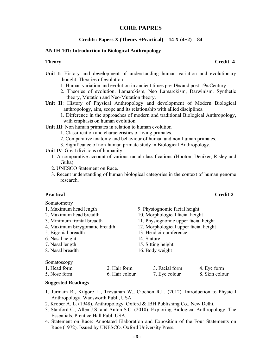### **CORE PAPRES**

#### **Credits: Papers X (Theory +Practical) =**  $14$  **X (** $4+2$ **) = 84**

#### **ANTH-101: Introduction to Biological Anthropology**

- **Unit I**: History and development of understanding human variation and evolutionary thought. Theories of evolution.
	- 1. Human variation and evolution in ancient times pre-19th and post-19th Century.
	- 2. Theories of evolution. Lamarckism, Neo Lamarckism, Darwinism, Synthetic theory, Mutation and Neo-Mutation theory.
- **Unit II**: History of Physical Anthropology and development of Modern Biological anthropology, aim, scope and its relationship with allied disciplines.
	- 1. Difference in the approaches of modern and traditional Biological Anthropology, with emphasis on human evolution.

**Unit III**: Non human primates in relation to human evolution

- 1. Classification and characteristics of living primates.
- 2. Comparative anatomy and behaviour of human and non-human primates.
- 3. Significance of non-human primate study in Biological Anthropology.

**Unit IV**: Great divisions of humanity

- 1. A comparative account of various racial classifications (Hooton, Deniker, Risley and Guha)
- 2. UNESCO Statement on Race.
- 3. Recent understanding of human biological categories in the context of human genome research.

Somatometry

| 1. Maximum head length         |                | 9. Physiognomic facial height         |                |  |
|--------------------------------|----------------|---------------------------------------|----------------|--|
| 2. Maximum head breadth        |                | 10. Morphological facial height       |                |  |
| 3. Minimum frontal breadth     |                | 11. Physiognomic upper facial height  |                |  |
| 4. Maximum bizygomatic breadth |                | 12. Morphological upper facial height |                |  |
| 5. Bigonial breadth            |                | 13. Head circumference                |                |  |
| 6. Nasal height                |                | 14. Stature                           |                |  |
| 7. Nasal length                |                | 15. Sitting height                    |                |  |
| 8. Nasal breadth               |                | 16. Body weight                       |                |  |
|                                |                |                                       |                |  |
| Somatoscopy                    |                |                                       |                |  |
| 1. Head form                   | 2. Hair form   | 3. Facial form                        | 4. Eye form    |  |
| 5. Nose form                   | 6. Hair colour | 7. Eye colour                         | 8. Skin colour |  |

#### **Suggested Readings**

- 1. Jurmain R., Kilgore L., Trevathan W., Ciochon R.L. (2012). Introduction to Physical Anthropology. Wadsworth Publ., USA
- 2. Krober A. L. (1948). Anthropology. Oxford & IBH Publishing Co., New Delhi.
- 3. Stanford C., Allen J.S. and Anton S.C. (2010). Exploring Biological Anthropology. The Essentials. Prentice Hall Publ, USA.
- 4. Statement on Race: Annotated Elaboration and Exposition of the Four Statements on Race (1972). Issued by UNESCO. Oxford University Press.

#### **Theory** Credit-4

#### **Practical** Credit-2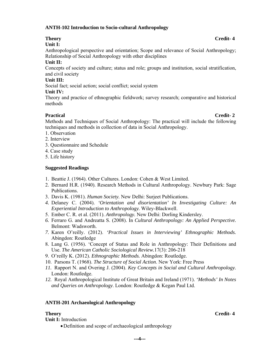#### **ANTH-102 Introduction to Socio-cultural Anthropology**

### **Unit I:**

Anthropological perspective and orientation; Scope and relevance of Social Anthropology; Relationship of Social Anthropology with other disciplines

### **Unit II:**

Concepts of society and culture; status and role; groups and institution, social stratification, and civil society

### **Unit III:**

Social fact; social action; social conflict; social system

### **Unit IV:**

Theory and practice of ethnographic fieldwork; survey research; comparative and historical methods

### **Practical** Credit- 2

Methods and Techniques of Social Anthropology: The practical will include the following techniques and methods in collection of data in Social Anthropology.

- 1. Observation
- 2. Interview
- 3. Questionnaire and Schedule
- 4. Case study
- 5. Life history

### **Suggested Readings**

- 1. Beattie J. (1964). Other Cultures. London: Cohen & West Limited.
- 2. Bernard H.R. (1940). Research Methods in Cultural Anthropology. Newbury Park: Sage Publications.
- 3. Davis K. (1981). *Human Society.* New Delhi: Surjeet Publications.
- *4.* Delaney C. (2004). *'Orientation and disorientation' In Investigating Culture: An Experiential Introduction to Anthropology.* Wiley-Blackwell.
- 5. Ember C. R. et al. (2011). *Anthropology.* New Delhi: Dorling Kindersley.
- *6.* Ferraro G. and Andreatta S. (2008). In *Cultural Anthropology: An Applied Perspective.*  Belmont: Wadsworth.
- *7.* Karen O'reilly. (2012). *'Practical Issues in Interviewing' Ethnographic Methods.*  Abingdon: Routledge
- 8. Lang G. (1956). 'Concept of Status and Role in Anthropology: Their Definitions and Use. *The American Catholic Sociological Review.*17(3): 206-218
- 9. O'reilly K. (2012). *Ethnographic Methods.* Abingdon: Routledge.
- 10. Parsons T. (1968). *The Structure of Social Action*. New York: Free Press
- *11.* Rapport N. and Overing J. (2004). *Key Concepts in Social and Cultural Anthropology.*  London: Routledge.
- *12.* Royal Anthropological Institute of Great Britain and Ireland (1971). *'Methods' In Notes and Queries on Anthropology*. London: Routledge & Kegan Paul Ltd.

### **ANTH-201 Archaeological Anthropology**

**Unit I:** Introduction

Definition and scope of archaeological anthropology

**---4---**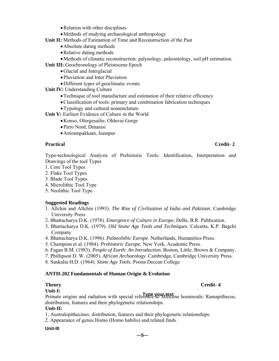- Relation with other disciplines
- Methods of studying archaeological anthropology
- **Unit II:** Methods of Estimation of Time and Reconstruction of the Past
	- Absolute dating methods
	- Relative dating methods
- Methods of climatic reconstruction: palynology, paleontology, soil pH estimation.
- **Unit III:** Geochronology of Pleistocene Epoch
	- Glacial and Interglacial
	- Pluviation and Inter Pluviation
	- Different types of geoclimatic events
- **Unit IV: Understanding Culture** 
	- Technique of tool manufacture and estimation of their relative efficiency
	- Classification of tools: primary and combination fabrication techniques
	- Typology and cultural nomenclature
- **Unit V:** Earliest Evidence of Culture in the World
	- Konso, Olorgesailie, Olduvai Gorge
	- Pirro Nord, Dmanisi
	- Attirampakkam, Isampur

### **Practical** Credit- 2

Typo-technological Analysis of Prehistoric Tools: Identification, Interpretation and Drawings of the tool Types

- 1. Core Tool Types
- 2. Flake Tool Types
- 3. Blade Tool Types
- 4. Microlithic Tool Type
- 5. Neolithic Tool Type

### **Suggested Readings**

- 1. Allchin and Allchin (1993). *The Rise of Civilization of India and Pakistan*. Cambridge University Press
- 2. Bhattacharya D.K. (1978). *Emergence of Culture in Europe*, Delhi, B.R. Publication.
- 3. Bhattacharya D.K. (1979). *Old Stone Age Tools and Techniques*. Calcutta, K.P. Bagchi Company
- 4. Bhattacharya D.K. (1996). *Palaeolithic Europe*. Netherlands, Humanities Press.
- 5. Champion et al. (1984). *Prehistoric Europe.* New York, Academic Press.
- 6. Fagan B.M. (1983). *People of Earth: An Introduction*. Boston, Little, Brown & Company.
- 7. Phillipson D. W. (2005). *African Archaeology*. Cambridge, Cambridge University Press.
- 8. Sankalia H.D. (1964). *Stone Age Tools.* Poona Deccan College

#### **ANTH-202 Fundamentals of Human Origin & Evolution**

### **Theory** Credit-4

#### **Unit-I:**

Primate origins and radiation with special reference to Miocene hominoids: Ramapithecus, **Type your text** distribution, features and their phylogenetic relationships.

#### **Unit-II:**

- 1. Australopithecines: distribution, features and their phylogenetic relationships.
- 2. Appearance of genus Homo (Homo habilis) and related finds.

#### **Unit-III**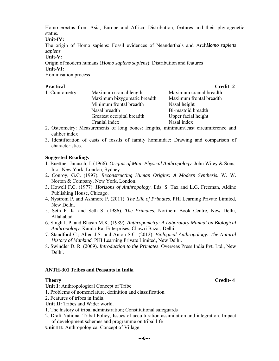status. Homo erectus from Asia, Europe and Africa: Distribution, features and their phylogenetic

**Unit-IV:** 

The origin of Homo sapiens: Fossil evidences of Neanderthals and Archailomo sapiens *sapiens* 

#### **Unit-V:**

Origin of modern humans (*Homo sapiens sapiens*): Distribution and features **Unit-VI:** 

Hominisation process

|                             | Credit-2                |
|-----------------------------|-------------------------|
| Maximum cranial length      | Maximum cranial breadth |
| Maximum bizygomatic breadth | Maximum frontal breadth |
| Minimum frontal breadth     | Nasal height            |
| Nasal breadth               | Bi-mastoid breadth      |
| Greatest occipital breadth  | Upper facial height     |
| Cranial index               | Nasal index             |
|                             |                         |

- 2. Osteometry: Measurements of long bones: lengths, minimum/least circumference and caliber index
- 3. Identification of casts of fossils of family hominidae: Drawing and comparison of characteristics.

### **Suggested Readings**

- 1. Buettner-Janusch, J. (1966). *Origins of Man: Physical Anthropology*. John Wiley & Sons, Inc., New York, London, Sydney.
- 2. Conroy, G.C. (1997)*. Reconstructing Human Origins: A Modern Synthesis*. W. W. Norton & Company, New York, London.
- 3. Howell F.C. (1977). *Horizons of Anthropology*. Eds. S. Tax and L.G. Freeman, Aldine Publishing House, Chicago.
- 4. Nystrom P. and Ashmore P. (2011). *The Life of Primates*. PHI Learning Private Limited, New Delhi.
- 5. Seth P. K. and Seth S. (1986). *The Primates.* Northern Book Centre, New Delhi, Allahabad.
- 6. Singh I. P. and Bhasin M.K. (1989). *Anthropometry: A Laboratory Manual on Biological Anthropology.* Kamla-Raj Enterprises, Chawri Bazar, Delhi.
- 7. Standford C.; Allen J.S. and Anton S.C. (2012). *Biological Anthropology: The Natural History of Mankind.* PHI Learning Private Limited, New Delhi.
- 8. Swindler D. R. (2009). *Introduction to the Primates*. Overseas Press India Pvt. Ltd., New Delhi.

#### **ANTH-301 Tribes and Peasants in India**

**Unit I:** Anthropological Concept of Tribe

- 1. Problems of nomenclature, definition and classification.
- 2. Features of tribes in India.
- **Unit II:** Tribes and Wider world.
- 1. The history of tribal administration; Constitutional safeguards
- 2. Draft National Tribal Policy, Issues of acculturation assimilation and integration. Impact of development schemes and programme on tribal life
- **Unit III:** Anthropological Concept of Village

**---6---**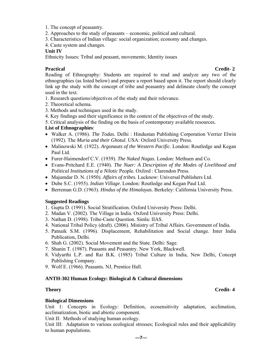- 1. The concept of peasantry.
- 2. Approaches to the study of peasants economic, political and cultural.
- 3. Characteristics of Indian village: social organization; economy and changes.
- 4. Caste system and changes.

#### **Unit IV**

Ethnicity Issues: Tribal and peasant, movements; Identity issues

#### **Practical** Credit- 2

Reading of Ethnography: Students are required to read and analyze any two of the ethnographies (as listed below) and prepare a report based upon it. The report should clearly link up the study with the concept of tribe and peasantry and delineate clearly the concept used in the text.

- 1. Research questions/objectives of the study and their relevance.
- 2. Theoretical schema.
- 3. Methods and techniques used in the study.
- 4. Key findings and their significance in the context of the objectives of the study.
- 5. Critical analysis of the finding on the basis of contemporary available resources.

#### **List of Ethnographies**:

- Walker A. (1986). *The Todas.* Delhi : Hindustan Publishing Corporation Verrier Elwin (1992). The *Muria and their Ghotul.* USA: Oxford University Press.
- Malinowski M. (1922). *Argonauts of the Western Pacific*. London: Routledge and Kegan Paul Ltd.
- Furer-Haimendorf C.V. (1939). *The Naked Nagas.* London: Methuen and Co.
- Evans-Pritchard E.E. (1940). *The Nuer: A Description of the Modes of Livelihood and Political Institutions of a Nilotic* People*.* Oxford : Clarendon Press.
- Majumdar D. N. (1950). *Affairs of tribes.* Lucknow: Universal Publishers Ltd.
- Dube S.C. (1955). *Indian Village*. London*:* Routledge and Kegan Paul Ltd.
- Berreman G.D. (1963). *Hindus of the Himalayas.* Berkeley: California University Press.

#### **Suggested Readings**

- 1. Gupta D. (1991). Social Stratification. Oxford University Press: Delhi.
- 2. Madan V. (2002). The Village in India. Oxford University Press: Delhi.
- 3. Nathan D. (1998). Tribe-Caste Question. Simla: IIAS.
- 4. National Tribal Policy (draft). (2006). Ministry of Tribal Affairs. Government of India.
- 5. Patnaik S.M. (1996). Displacement, Rehabilitation and Social change. Inter India Publication, Delhi.
- 6. Shah G. (2002). Social Movement and the State. Delhi: Sage.
- 7. Shanin T. (1987). Peasants and Peasantry. New York, Blackwell.
- 8. Vidyarthi L.P. and Rai B.K. (1985) Tribal Culture in India, New Delhi, Concept Publishing Company.
- 9. Wolf E. (1966). Peasants. NJ, Prentice Hall.

#### **ANTH-302 Human Ecology: Biological & Cultural dimensions**

#### **Theory** Credit-4

#### **Biological Dimensions**

Unit 1: Concepts in Ecology: Definition, ecosensitivity adaptation, acclimation, acclimatization, biotic and abiotic component.

Unit II: Methods of studying human ecology.

Unit III: Adaptation to various ecological stresses; Ecological rules and their applicability to human populations.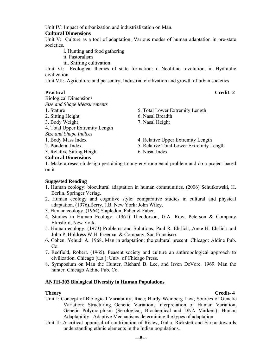Unit IV: Impact of urbanization and industrialization on Man.

#### **Cultural Dimensions**

Unit V: Culture as a tool of adaptation; Various modes of human adaptation in pre-state societies.

- i. Hunting and food gathering
- ii. Pastoralism
- iii. Shifting cultivation

Unit VI: Ecological themes of state formation: i. Neolithic revolution, ii. Hydraulic civilization

Unit VII: Agriculture and peasantry; Industrial civilization and growth of urban societies

#### **Practical** Credit- 2

Biological Dimensions

- *Size and Shape Measurements*
- 
- 2. Sitting Height 6. Nasal Breadth
- 3. Body Weight 7. Nasal Height
- 4. Total Upper Extremity Length
- *Size and Shape Indices*
- 
- 

3. Relative Sitting Height 6. Nasal Index

- 1. Stature 5. Total Lower Extremity Length
	-
	-
- 1. Body Mass Index 4. Relative Upper Extremity Length
- 2. Ponderal Index 5. Relative Total Lower Extremity Length
	-

### **Cultural Dimensions**

1. Make a research design pertaining to any environmental problem and do a project based on it.

#### **Suggested Reading**

- 1. Human ecology: biocultural adaptation in human communities. (2006) Schutkowski, H. Berlin. Springer Verlag.
- 2. Human ecology and cognitive style: comparative studies in cultural and physical adaptation. (1976).Berry, J.B. New York: John Wiley.
- 3. Human ecology. (1964) Stapledon. Faber & Faber.
- 4. Studies in Human Ecology. (1961) Theodorson, G.A. Row, Peterson & Company Elmsford, New York.
- 5. Human ecology: (1973) Problems and Solutions. Paul R. Ehrlich, Anne H. Ehrlich and John P. Holdress.W.H. Freeman & Company, San Francisco.
- 6. Cohen, Yehudi A. 1968. Man in adaptation; the cultural present. Chicago: Aldine Pub. Co.
- 7. Redfield, Robert. (1965). Peasent society and culture an anthropological approach to civilization. Chicago [u.a.]: Univ. of Chicago Press.
- 8. Symposium on Man the Hunter, Richard B. Lee, and Irven DeVore. 1969. Man the hunter. Chicago:Aldine Pub. Co.

#### **ANTH-303 Biological Diversity in Human Populations**

- Unit I: Concept of Biological Variability; Race; Hardy-Weinberg Law; Sources of Genetic Variation; Structuring Genetic Variation; Interpretation of Human Variation, Genetic Polymorphism (Serological, Biochemical and DNA Markers); Human Adaptability –Adaptive Mechanisms determining the types of adaptation.
- Unit II: A critical appraisal of contribution of Risley, Guha, Rickstett and Sarkar towards understanding ethnic elements in the Indian populations.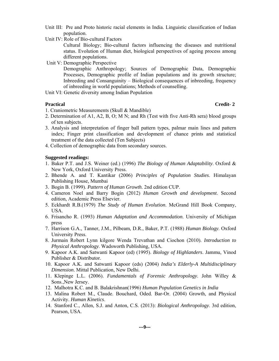- Unit III: Pre and Proto historic racial elements in India. Linguistic classification of Indian population.
- Unit IV: Role of Bio-cultural Factors

Cultural Biology; Bio-cultural factors influencing the diseases and nutritional status. Evolution of Human diet, biological perspectives of ageing process among different populations.

Unit V: Demographic Perspective

Demographic Anthropology; Sources of Demographic Data, Demographic Processes, Demographic profile of Indian populations and its growth structure; Inbreeding and Consanguinity – Biological consequences of inbreeding, frequency of inbreeding in world populations; Methods of counselling.

Unit VI: Genetic diversity among Indian Population

#### **Practical** Credit- 2

- 1. Craniometric Measurements (Skull & Mandible)
- 2. Determination of A1, A2, B, O; M N; and Rh (Test with five Anti-Rh sera) blood groups of ten subjects.
- 3. Analysis and interpretation of finger ball pattern types, palmar main lines and pattern index; Finger print classification and development of chance prints and statistical treatment of the data collected (Ten Subjects)
- 4. Collection of demographic data from secondary sources.

#### **Suggested readings:**

- 1. Baker P.T. and J.S. Weiner (ed.) (1996) *The Biology of Human Adaptability*. Oxford & New York, Oxford University Press.
- 2. Bhende A. and T. Kantikar (2006) *Principles of Population Studies*. Himalayan Publishing House, Mumbai
- 3. Bogin B. (1999). *Pattern of Human Growth*. 2nd edition CUP.
- 4. Cameron Noel and Barry Bogin (2012) *Human Growth and development*. Second edition, Academic Press Elsevier.
- 5. Eckhardt R.B.(1979) *The Study of Human Evolution*. McGrand Hill Book Company, USA.
- 6. Frisancho R. (1993) *Human Adaptation and Accommodation*. University of Michigan press
- 7. Harrison G.A., Tanner, J.M., Pilbeam, D.R., Baker, P.T. (1988) *Human Biology*. Oxford University Press.
- 8. Jurmain Robert Lynn kilgore Wenda Trevathan and Ciochon (2010). *Introduction to Physical Anthropology*. Wadsworth Publishing, USA.
- 9. Kapoor A.K. and Satwanti Kapoor (ed) (1995). *Biology of Highlanders*. Jammu, Vinod Publisher & Distributor.
- 10. Kapoor A.K. and Satwanti Kapoor (eds) (2004) *India's Elderly-A Multidisciplinary Dimension*. Mittal Publication, New Delhi.
- 11. Klepinge L.L. (2006). *Fundamentals of Forensic Anthropology*. John Willey & Sons.,New Jersey.
- 12. Malhotra K.C. and B. Balakrishnan(1996) *Human Population Genetics in India*
- 13. Malina Robert M., Claude. Bouchard, Oded. Bar-Or. (2004) Growth, and Physical Activity. *Human Kinetics*.
- 14. Stanford C., Allen, S.J. and Anton, C.S. (2013): *Biological Anthropology*. 3rd edition, Pearson, USA.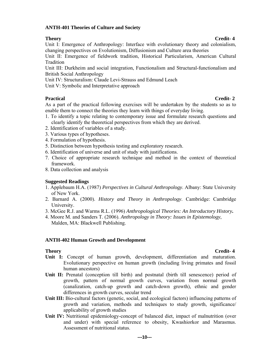#### **ANTH-401 Theories of Culture and Society**

Unit I: Emergence of Anthropology: Interface with evolutionary theory and colonialism, changing perspectives on Evolutionism, Diffusionism and Culture area theories

Unit II: Emergence of fieldwork tradition, Historical Particularism, American Cultural Tradition

Unit III: Durkheim and social integration, Functionalism and Structural-functionalism and British Social Anthropology

Unit IV: Structuralism: Claude Levi-Strauss and Edmund Leach

Unit V: Symbolic and Interpretative approach

### **Practical** Credit- 2

As a part of the practical following exercises will be undertaken by the students so as to enable them to connect the theories they learn with things of everyday living.

- 1. To identify a topic relating to contemporary issue and formulate research questions and clearly identify the theoretical perspectives from which they are derived.
- 2. Identification of variables of a study.
- 3. Various types of hypotheses.
- 4. Formulation of hypothesis.
- 5. Distinction between hypothesis testing and exploratory research.
- 6. Identification of universe and unit of study with justifications.
- 7. Choice of appropriate research technique and method in the context of theoretical framework.
- 8. Data collection and analysis

#### **Suggested Readings**

- 1. Applebaum H.A. (1987) *Perspectives in Cultural Anthropology*. Albany: State University of New York.
- 2. Barnard A. (2000). *History and Theory in Anthropology*. Cambridge: Cambridge University.
- 3. McGee R.J. and Warms R.L. (1996) *Anthropological Theories: An Introductory History***.**
- 4. Moore M. and Sanders T. (2006). *Anthropology in Theory: Issues in Epistemology*, Malden, MA: Blackwell Publishing.

#### **ANTH-402 Human Growth and Development**

- **Theory** Credit-4 **Unit I:** Concept of human growth, development, differentiation and maturation. Evolutionary perspective on human growth (including living primates and fossil human ancestors)
- Unit II: Prenatal (conception till birth) and postnatal (birth till senescence) period of growth, pattern of normal growth curves, variation from normal growth (canalization, catch-up growth and catch-down growth), ethnic and gender differences in growth curves, secular trend
- Unit III: Bio-cultural factors (genetic, social, and ecological factors) influencing patterns of growth and variation, methods and techniques to study growth, significance/ applicability of growth studies
- Unit IV: Nutritional epidemiology-concept of balanced diet, impact of malnutrition (over and under) with special reference to obesity, Kwashiorkor and Marasmus. Assessment of nutritional status.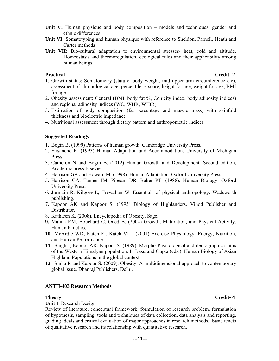- **Unit V:** Human physique and body composition models and techniques; gender and ethnic differences
- **Unit VI:** Somatotyping and human physique with reference to Sheldon, Parnell, Heath and Carter methods
- **Unit VII:** Bio-cultural adaptation to environmental stresses- heat, cold and altitude. Homeostasis and thermoregulation, ecological rules and their applicability among human beings

#### **Practical** Credit- 2

- 1. Growth status: Somatometry (stature, body weight, mid upper arm circumference etc), assessment of chronological age, percentile, z-score, height for age, weight for age, BMI for age
- 2. Obesity assessment: General (BMI, body fat %, Conicity index, body adiposity indices) and regional adiposity indices (WC, WHR, WHtR)
- 3. Estimation of body composition (fat percentage and muscle mass) with skinfold thickness and bioelectric impedance
- 4. Nutritional assessment through dietary pattern and anthropometric indices

#### **Suggested Readings**

- 1. Bogin B. (1999) Patterns of human growth. Cambridge University Press.
- 2. Frisancho R. (1993) Human Adaptation and Accommodation. University of Michigan Press.
- 3. Cameron N and Bogin B. (2012) Human Growth and Development. Second edition, Academic press Elsevier.
- 4. Harrison GA and Howard M. (1998). Human Adaptation. Oxford University Press.
- 5. Harrison GA, Tanner JM, Pibeam DR, Baker PT. (1988). Human Biology. Oxford University Press.
- 6. Jurmain R, Kilgore L, Trevathan W. Essentials of physical anthropology. Wadsworth publishing.
- 7. Kapoor AK and Kapoor S. (1995) Biology of Highlanders. Vinod Publisher and Distributor.
- 8. Kathleen K. (2008). Encyclopedia of Obesity. Sage.
- **9.** Malina RM, Bouchard C, Oded B. (2004) Growth, Maturation, and Physical Activity. Human Kinetics.
- **10.** McArdle WD, Katch FI, Katch VL. (2001) Exercise Physiology: Energy, Nutrition, and Human Performance.
- **11.** Singh I, Kapoor AK, Kapoor S. (1989). Morpho-Physiological and demographic status of the Western Himalyan population. In Basu and Gupta (eds.). Human Biology of Asian Highland Populations in the global context.
- **12.** Sinha R and Kapoor S. (2009). Obesity: A multidimensional approach to contemporary global issue. Dhanraj Publishers. Delhi.

#### **ANTH-403 Research Methods**

**Unit I**: Research Design

Review of literature, conceptual framework, formulation of research problem, formulation of hypothesis, sampling, tools and techniques of data collection, data analysis and reporting, guiding ideals and critical evaluation of major approaches in research methods, basic tenets of qualitative research and its relationship with quantitative research.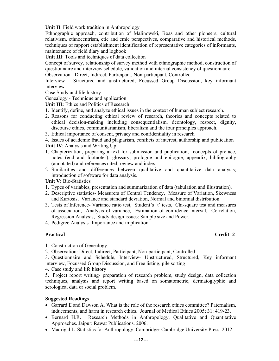**Unit II**: Field work tradition in Anthropology

Ethnographic approach, contribution of Malinowski, Boas and other pioneers; cultural relativism, ethnocentrism, etic and emic perspectives, comparative and historical methods, techniques of rapport establishment identification of representative categories of informants, maintenance of field diary and logbook

**Unit III**: Tools and techniques of data collection

Concept of survey, relationship of survey method with ethnographic method, construction of questionnaire and interview schedule, validation and internal consistency of questionnaire Observation - Direct, Indirect, Participant, Non-participant, Controlled

Interview - Structured and unstructured, Focussed Group Discussion, key informant interview

Case Study and life history

Genealogy - Technique and application

**Unit III:** Ethics and Politics of Research

- 1. Identify, define, and analyze ethical issues in the context of human subject research.
- 2. Reasons for conducting ethical review of research, theories and concepts related to ethical decision-making including consequentialism, deontology, respect, dignity, discourse ethics, communitarianism, liberalism and the four principles approach.

3. Ethical importance of consent, privacy and confidentiality in research

4. Issues of academic fraud and plagiarism, conflicts of interest, authorship and publication **Unit IV**: Analysis and Writing Up

- 1. Chapterization, preparing a text for submission and publication, concepts of preface, notes (end and footnotes), glossary, prologue and epilogue, appendix, bibliography (annotated) and references cited, review and index.
- 2. Similarities and differences between qualitative and quantitative data analysis; introduction of software for data analysis.

**Unit V: Bio-Statistics** 

- 1. Types of variables, presentation and summarization of data (tabulation and illustration).
- 2. Descriptive statistics- Measurers of Central Tendency, Measure of Variation, Skewness and Kurtosis, Variance and standard deviation, Normal and binomial distribution.
- 3. Tests of Inference- Variance ratio test, Student's 't' tests, Chi-square test and measures of association, Analysis of variance, Estimation of confidence interval, Correlation, Regression Analysis, Study design issues: Sample size and Power,
- 4. Pedigree Analysis- Importance and implication.

#### **Practical** Credit- 2

1. Construction of Genealogy.

2. Observation: Direct, Indirect, Participant, Non-participant, Controlled

3. Questionnaire and Schedule, Interview- Unstructured, Structured, Key informant interview, Focussed Group Discussion, and Free listing, pile sorting

4. Case study and life history

5. Project report writing- preparation of research problem, study design, data collection techniques, analysis and report writing based on somatometric, dermatoglyphic and serological data or social problem.

#### **Suggested Readings**

- Garrard E and Dawson A. What is the role of the research ethics committee? Paternalism, inducements, and harm in research ethics. Journal of Medical Ethics 2005; 31: 419-23.
- Bernard H.R. Research Methods in Anthropology, Qualitative and Quantitative Approaches. Jaipur: Rawat Publications. 2006.
- Madrigal L. Statistics for Anthropology. Cambridge: Cambridge University Press. 2012.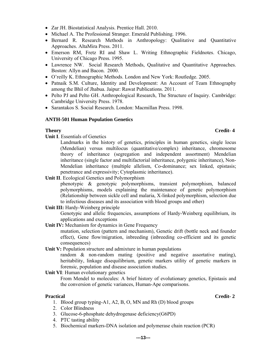- Zar JH. Biostatistical Analysis. Prentice Hall. 2010.
- Michael A. The Professional Stranger. Emerald Publishing. 1996.
- Bernard R. Research Methods in Anthropology: Qualitative and Quantitative Approaches. AltaMira Press. 2011.
- Emerson RM, Fretz RI and Shaw L. Writing Ethnographic Fieldnotes. Chicago, University of Chicago Press. 1995.
- Lawrence NW. Social Research Methods, Qualitative and Quantitative Approaches. Boston: Allyn and Bacon. 2000.
- O'reilly K. Ethnographic Methods. London and New York: Routledge. 2005.
- Patnaik S.M. Culture, Identity and Development: An Account of Team Ethnography among the Bhil of Jhabua. Jaipur: Rawat Publications. 2011.
- Pelto PJ and Pelto GH. Anthropological Research, The Structure of Inquiry. Cambridge: Cambridge University Press. 1978.
- Sarantakos S. Social Research. London: Macmillan Press. 1998.

#### **ANTH-501 Human Population Genetics**

#### **Theory** Credit-4

**Unit I**. Essentials of Genetics

Landmarks in the history of genetics, principles in human genetics, single locus (Mendelian) versus multilocus (quantitative/complex) inheritance, chromosome theory of inheritance (segregation and independent assortment) Mendelian inheritance (single factor and multifactorial inheritance, polygenic inheritance), Non-Mendelian inheritance (multiple allelism, Co-dominance; sex linked, epistasis; penetrance and expressivity; Cytoplasmic inheritance).

**Unit II**. Ecological Genetics and Polymorphism

phenotypic & genotypic polymorphisms, transient polymorphism, balanced polymorphisms, models explaining the maintenance of genetic polymorphism (Relationship between sickle cell and malaria, X-linked polymorphism, selection due to infectious diseases and its association with blood groups and other)

#### Unit III: Hardy-Weinberg principle

 Genotypic and allelic frequencies, assumptions of Hardy-Weinberg equilibrium, its applications and exceptions

**Unit IV:** Mechanism for dynamics in Gene Frequency

mutation, selection (pattern and mechanism), Genetic drift (bottle neck and founder effect), Gene flow/migration, inbreeding (inbreeding co-efficient and its genetic consequences)

**Unit V:** Population structure and admixture in human populations

random & non-random mating (positive and negative assortative mating), heritability, linkage disequilibrium, genetic markers utility of genetic markers in forensic, population and disease association studies.

#### **Unit VI:** Human evolutionary genetics

From Mendel to molecules: A brief history of evolutionary genetics, Epistasis and the conversion of genetic variances, Human-Ape comparisons.

#### **Practical** Credit- 2

- 1. Blood group typing-A1, A2, B, O, MN and Rh (D) blood groups
- 2. Color Blindness
- 3. Glucose-6-phosphate dehydrogenase deficiency(G6PD)
- 4. PTC tasting ability
- 5. Biochemical markers-DNA isolation and polymerase chain reaction (PCR)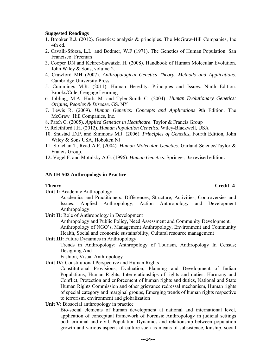#### **Suggested Readings**

- 1. Brooker R.J. (2012). Genetics: analysis & principles. The McGraw-Hill Companies, Inc 4th ed.
- 2. Cavalli-Sforza, L.L. and Bodmer, W.F (1971). The Genetics of Human Population. San Francisco: Freeman
- 3. Cooper DN and Kehrer-Sawatzki H. (2008). Handbook of Human Molecular Evolution. John Wiley & Sons, volume-2.
- 4. Crawford MH (2007). *Anthropological Genetics Theory, Methods and Applications*. Cambridge University Press
- 5. Cummings M.R. (2011). Human Heredity: Principles and Issues*.* Ninth Edition. Brooks/Cole, Cengage Learning
- 6. Jobling, M.A. Hurls M. and Tyler-Smith C. (2004). *Human Evolutionary Genetics: Origins, Peoples & Disease*. GS. NY
- 7. Lewis R. (2009). *Human Genetics: Concepts and Applications* 9th Edition. The McGraw−Hill Companies, Inc.
- 8. Patch C. (2005). *Applied Genetics in Healthcare*. Taylor & Francis Group

9. Relethford J.H. (2012). *Human Population Genetics*. Wiley-Blackwell, USA

- 10. Snustad .D.P. and Simmons M.J. (2006). *Principles of Genetics*, Fourth Edition, John Wiley & Sons USA, Hoboken NJ
- 11. Strachan T, Read A.P. (2004). *Human Molecular Genetics*. Garland Science/Taylor & Francis Group.
- 12**.** Vogel F. and Motulsky A.G. (1996). *Human Genetics*. Springer, 3rd revised edition**.**

#### **ANTH-502 Anthropology in Practice**

**Unit I:** Academic Anthropology

Academics and Practitioners: Differences, Structure, Activities, Controversies and Issues: Applied Anthropology, Action Anthropology and Development Anthropology.

**Unit II:** Role of Anthropology in Development

Anthropology and Public Policy, Need Assessment and Community Development, Anthropology of NGO's, Management Anthropology, Environment and Community Health, Social and economic sustainability, Cultural resource management

**Unit III:** Future Dynamics in Anthropology

Trends in Anthropology: Anthropology of Tourism, Anthropology In Census; Designing And

Fashion, Visual Anthropology

- **Unit IV:** Constitutional Perspective and Human Rights
	- Constitutional Provisions, Evaluation, Planning and Development of Indian Populations; Human Rights, Interrelationships of rights and duties: Harmony and Conflict, Protection and enforcement of human rights and duties, National and State Human Rights Commission and other grievance redressal mechanism, Human rights of special category and marginal groups, Emerging trends of human rights respective to terrorism, environment and globalization
- **Unit V**: Biosocial anthropology in practice

 Bio-social elements of human development at national and international level, application of conceptual framework of Forensic Anthropology in judicial settings both criminal and civil, Population Dynamics and relationship between population growth and various aspects of culture such as means of subsistence, kinship, social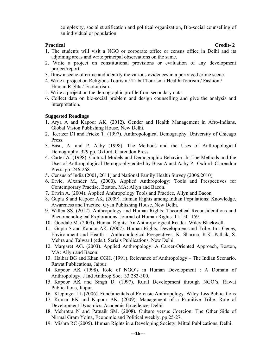complexity, social stratification and political organization, Bio-social counselling of an individual or population

#### **Practical** Credit- 2

- 1. The students will visit a NGO or corporate office or census office in Delhi and its adjoining areas and write principal observations on the same.
- 2. Write a project on constitutional provisions or evaluation of any development project/report.
- 3. Draw a scene of crime and identify the various evidences in a portrayed crime scene.
- 4. Write a project on Religious Tourism / Tribal Tourism / Health Tourism / Fashion / Human Rights / Ecotourism.
- 5. Write a project on the demographic profile from secondary data.
- 6. Collect data on bio-social problem and design counselling and give the analysis and interpretation.

#### **Suggested Readings**

- 1. Arya A and Kapoor AK. (2012). Gender and Health Management in Afro-Indians. Global Vision Publishing House, New Delhi.
- 2. Kertzer DI and Fricke T. (1997). Anthropological Demography. University of Chicago Press.
- 3. Basu, A. and P. Aaby (1998). The Methods and the Uses of Anthropological Demography. 329 pp. Oxford, Clarendon Press
- 4. Carter A. (1998). Cultural Models and Demographic Behavior. In The Methods and the Uses of Anthropological Demography edited by Basu A and Aaby P. Oxford: Clarendon Press. pp 246-268.
- 5. Census of India (2001, 2011) and National Family Health Survey (2006,2010).
- 6. Ervic, Alxander M., (2000). Applied Anthropology: Tools and Prespectives for Contemporary Practise, Boston, MA: Allyn and Bacon.
- 7. Erwin A. (2004). Applied Anthropology Tools and Practice, Allyn and Bacon.
- 8. Gupta S and Kapoor AK. (2009). Human Rights among Indian Populations: Knowledge, Awareness and Practice. Gyan Publishing House, New Delhi.
- 9. Willen SS. (2012). Anthropology and Human Rights: Theoretical Reconsiderations and Phenomenological Explorations. Journal of Human Rights. 11:150–159.
- 10. Goodale M. (2009). Human Rights: An Anthropological Reader. Wiley Blackwell.
- 11. Gupta S and Kapoor AK. (2007). Human Rights, Development and Tribe. In : Genes, Environment and Health – Anthropological Prespectives. K. Sharma, R.K. Pathak, S. Mehra and Talwar I (eds.). Serials Publications, New Delhi.
- 12. Margaret AG. (2003). Applied Anthropology: A Career-Oriented Approach, Boston, MA: Allyn and Bacon.
- 13. Halbar BG and Khan CGH. (1991). Relevance of Anthropology The Indian Scenario. Rawat Publications, Jaipur.
- 14. Kapoor AK (1998). Role of NGO's in Human Development : A Domain of Anthropology. J Ind Anthrop Soc; 33:283-300.
- 15. Kapoor AK and Singh D. (1997). Rural Development through NGO's. Rawat Publications, Jaipur.
- 16. Klepinger LL (2006). Fundamentals of Forensic Anthropology. Wiley-Liss Publications
- 17. Kumar RK and Kapoor AK. (2009). Management of a Primitive Tribe: Role of Development Dynamics. Academic Excellence, Delhi.
- 18. Mehrotra N and Patnaik SM. (2008). Culture versus Coercion: The Other Side of Nirmal Gram Yojna, Economic and Political weekly. pp 25-27.
- 19. Mishra RC (2005). Human Rights in a Developing Society, Mittal Publications, Delhi.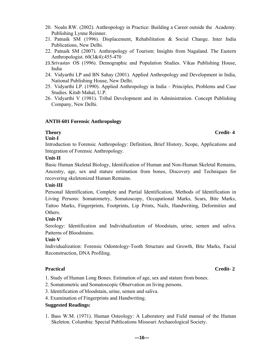- 20. Noaln RW. (2002). Anthropology in Practice: Building a Career outside the Academy. Publishing Lynne Reinner.
- 21. Patnaik SM (1996). Displacement, Rehabilitation & Social Change. Inter India Publications, New Delhi.
- 22. Patnaik SM (2007). Anthropology of Tourism: Insights from Nagaland. The Eastern Anthropologist. 60(3&4):455-470
- 23.Srivastav OS (1996). Demographic and Population Studies. Vikas Publishing House, India
- 24. Vidyarthi LP and BN Sahay (2001). Applied Anthropology and Development in India, National Publishing House, New Delhi.
- 25. Vidyarthi LP. (1990). Applied Anthropology in India Principles, Problems and Case Studies. Kitab Mahal, U.P.
- 26. Vidyarthi V (1981). Tribal Development and its Administration. Concept Publishing Company, New Delhi.

#### **ANTH-601 Forensic Anthropology**

#### **Unit-I**

Introduction to Forensic Anthropology: Definition, Brief History, Scope, Applications and Integration of Forensic Anthropology.

#### **Unit-II**

Basic Human Skeletal Biology, Identification of Human and Non-Human Skeletal Remains, Ancestry, age, sex and stature estimation from bones, Discovery and Techniques for recovering skeletonized Human Remains.

#### **Unit-III**

Personal Identification, Complete and Partial Identification, Methods of Identification in Living Persons: Somatometry, Somatoscopy, Occupational Marks, Scars, Bite Marks, Tattoo Marks, Fingerprints, Footprints, Lip Prints, Nails, Handwriting, Deformities and **Others** 

#### **Unit-IV**

Serology: Identification and Individualization of bloodstain, urine, semen and saliva. Patterns of Bloodstains.

#### **Unit-V**

Individualization: Forensic Odontology-Tooth Structure and Growth, Bite Marks, Facial Reconstruction, DNA Profiling.

#### **Practical** Credit- 2

- 1. Study of Human Long Bones. Estimation of age, sex and stature from bones.
- 2. Somatometric and Somatoscopic Observation on living persons.
- 3. Identification of bloodstain, urine, semen and saliva.
- 4. Examination of Fingerprints and Handwriting.

#### **Suggested Readings:**

1. Bass W.M. (1971). Human Osteology: A Laboratory and Field manual of the Human Skeleton. Columbia: Special Publications Missouri Archaeological Society.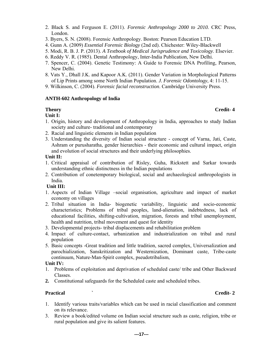- 2. Black S. and Ferguson E. (2011). *Forensic Anthropology 2000 to 2010.* CRC Press, London.
- 3. Byers, S. N. (2008). Forensic Anthropology. Boston: Pearson Education LTD.
- 4. Gunn A. (2009) *Essential Forensic Biology* (2nd ed). Chichester: Wiley-Blackwell
- 5. Modi, R. B. J. P. (2013). *A Textbook of Medical Jurisprudence and Toxicology*. Elsevier.
- 6. Reddy V. R. (1985). Dental Anthropology, Inter-India Publication, New Delhi.
- 7. Spencer, C. (2004). Genetic Testimony: A Guide to Forensic DNA Profiling, Pearson, New Delhi.
- 8. Vats Y., Dhall J.K. and Kapoor A.K. (2011). Gender Variation in Morphological Patterns of Lip Prints among some North Indian Population. *J. Forensic Odontology*, 4: 11-15.
- 9. Wilkinson, C. (2004). *Forensic facial reconstruction*. Cambridge University Press.

#### **ANTH-602 Anthropology of India**

#### **Unit I:**

- 1. Origin, history and development of Anthropology in India, approaches to study Indian society and culture- traditional and contemporary
- 2. Racial and linguistic elements in Indian population
- 3. Understanding the diversity of Indian social structure concept of Varna, Jati, Caste, Ashram or purusharatha, gender hierarchies - their economic and cultural impact, origin and evolution of social structures and their underlying philosophies.

### **Unit II:**

- 1. Critical appraisal of contribution of Risley, Guha, Rickstett and Sarkar towards understanding ethnic distinctness in the Indian populations
- 2. Contribution of conetemporary biological, social and archaeological anthropologists in India.

#### **Unit III:**

- 1. Aspects of Indian Village –social organisation, agriculture and impact of market economy on villages
- 2. Tribal situation in India- biogenetic variability, linguistic and socio-economic characteristics; Problems of tribal peoples, land-alienation, indebtedness, lack of educational facilities, shifting-cultivation, migration, forests and tribal unemployment, health and nutrition, tribal movement and quest for identity
- 3. Developmental projects- tribal displacements and rehabilitation problem
- 4. Impact of culture-contact, urbanization and industrialization on tribal and rural population
- 5. Basic concepts -Great tradition and little tradition, sacred complex, Universalization and parochialization, Sanskritization and Westernization, Dominant caste, Tribe-caste continuum, Nature-Man-Spirit complex, pseudotribalism,

#### **Unit IV:**

- 1. Problems of exploitation and deprivation of scheduled caste/ tribe and Other Backward Classes.
- **2.** Constitutional safeguards for the Scheduled caste and scheduled tribes.

#### **Practical** Credit- 2

- 1. Identify various traits/variables which can be used in racial classification and comment on its relevance.
- 3. Review a book/edited volume on Indian social structure such as caste, religion, tribe or rural population and give its salient features.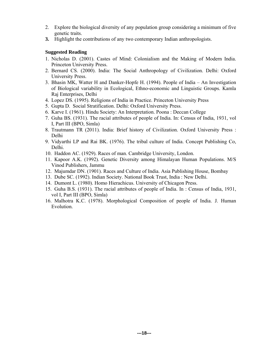- 2. Explore the biological diversity of any population group considering a minimum of five genetic traits.
- **3.** Highlight the contributions of any two contemporary Indian anthropologists.

#### **Suggested Reading**

- 1. Nicholas D. (2001). Castes of Mind: Colonialism and the Making of Modern India. Princeton University Press.
- 2. Bernard CS. (2000). India: The Social Anthropology of Civilization. Delhi: Oxford University Press.
- 3. Bhasin MK, Watter H and Danker-Hopfe H. (1994). People of India An Investigation of Biological variability in Ecological, Ethno-economic and Linguistic Groups. Kamla Raj Enterprises, Delhi
- 4. Lopez DS. (1995). Religions of India in Practice. Princeton University Press
- 5. Gupta D. Social Stratification. Delhi: Oxford University Press.
- 6. Karve I. (1961). Hindu Society: An Interpretation. Poona : Deccan College
- 7. Guha BS. (1931). The racial attributes of people of India. In: Census of India, 1931, vol I, Part III (BPO, Simla)
- 8. Trautmann TR (2011). India: Brief history of Civilization. Oxford University Press : Delhi
- 9. Vidyarthi LP and Rai BK. (1976). The tribal culture of India. Concept Publishing Co, Delhi.
- 10. Haddon AC. (1929). Races of man. Cambridge University, London.
- 11. Kapoor A.K. (1992). Genetic Diversity among Himalayan Human Populations. M/S Vinod Publishers, Jammu
- 12. Majumdar DN. (1901). Races and Culture of India. Asia Publishing House, Bombay
- 13. Dube SC. (1992). Indian Society. National Book Trust, India : New Delhi.
- 14. Dumont L. (1980). Homo Hierachicus. University of Chicagon Press.
- 15. Guha B.S. (1931). The racial attributes of people of India. In : Census of India, 1931, vol I, Part III (BPO, Simla)
- 16. Malhotra K.C. (1978). Morphological Composition of people of India. J. Human Evolution.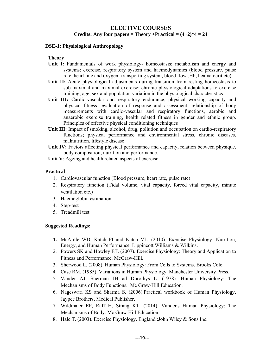### **ELECTIVE COURSES**  Credits: Any four papers = Theory +Practical =  $(4+2)*4 = 24$

#### **DSE-1: Physiological Anthropology**

#### **Theory**

- **Unit I:** Fundamentals of work physiology- homeostasis; metabolism and energy and systems; exercise, respiratory system and haemodynamics (blood pressure, pulse rate, heart rate and oxygen- transporting system, blood flow ,Hb, heamatocrit etc)
- Unit II: Acute physiological adjustments during transition from resting homeostasis to sub‐maximal and maximal exercise; chronic physiological adaptations to exercise training; age, sex and population variation in the physiological characteristics
- **Unit III:** Cardio-vascular and respiratory endurance, physical working capacity and physical fitness- evaluation of response and assessment; relationship of body measurements with cardio-vascular and respiratory functions, aerobic and anaerobic exercise training, health related fitness in gender and ethnic group. Principles of effective physical conditioning techniques
- Unit III: Impact of smoking, alcohol, drug, pollution and occupation on cardio-respiratory functions; physical performance and environmental stress, chronic diseases, malnutrition, lifestyle disease
- **Unit IV:** Factors affecting physical performance and capacity, relation between physique, body composition, nutrition and performance.
- **Unit V**: Ageing and health related aspects of exercise

#### **Practical**

- 1. Cardiovascular function (Blood pressure, heart rate, pulse rate)
- 2. Respiratory function (Tidal volume, vital capacity, forced vital capacity, minute ventilation etc.)
- 3. Haemoglobin estimation
- 4. Step-test
- 5. Treadmill test

#### **Suggested Readings:**

- **1.** McArdle WD, Katch FI and Katch VL. (2010). Exercise Physiology: Nutrition, Energy, and Human Performance. Lippincott Williams & Wilkins**.**
- 2. Powers SK and Howley ET. (2007). Exercise Physiology: Theory and Application to Fitness and Performance. McGraw-Hill.
- 3. Sherwood L. (2008). Human Physiology: From Cells to Systems. Brooks Cole.
- 4. Case RM. (1985). Variations in Human Physiology. Manchester University Press.
- 5. Vander AJ, Sherman JH ad Dorothys L. (1978). Human Physiology: The Mechanisms of Body Functions. Mc Graw-Hill Education.
- 6. Nageswari KS and Sharma S. (2006).Practical workbook of Human Physiology. Jaypee Brothers, Medical Publisher.
- 7. Wildmaier EP, Raff H, Strang KT. (2014). Vander's Human Physiology: The Mechanisms of Body. Mc Graw Hill Education.
- 8. Hale T. (2003). Exercise Physiology. England :John Wiley & Sons Inc.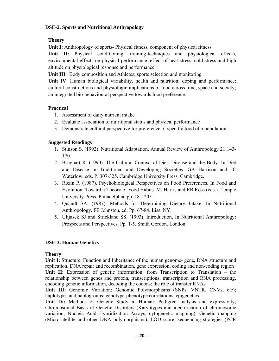### **DSE-2. Sports and Nutritional Anthropology**

### **Theory**

**Unit I:** Anthropology of sports- Physical fitness, component of physical fitness

**Unit II:** Physical conditioning, training-techniques and physiological effects, environmental effects on physical performance: effect of heat stress, cold stress and high altitude on physiological response and performance.

**Unit III**: Body composition and Athletes, sports selection and monitoring

**Unit IV:** Human biological variability, health and nutrition; doping and performance; cultural constructions and physiologic implications of food across time, space and society; an integrated bio-behavioural perspective towards food preference.

## **Practical**

- 1. Assessment of daily nutrient intake
- 2. Evaluate association of nutritional status and physical performance
- 3. Demonstrate cultural perspective for preference of specific food of a population

### **Suggested Readings**

- 1. Stinson S. (1992). Nutritional Adaptation. Annual Review of Anthropology 21:143- 170.
- 2. Brughart R. (1990). The Cultural Context of Diet, Disease and the Body. In Diet and Disease in Traditional and Developing Societies. GA Harrison and JC Waterlow, eds. P. 307-325. Cambridge University Press. Cambridge.
- 3. Rozin P. (1987). Psychobiological Perspectives on Food Preferences. In Food and Evolution: Toward a Theory of Food Habits. M. Harris and EB Ross (eds.). Temple University Press. Philadelphia, pp. 181-205.
- 4. Quandt SA. (1987). Methods for Determining Dietary Intake. In Nutritional Anthropology. FE Johnston, ed. Pp. 67-84. Liss. NY.
- 5. Ulijasek SJ and Strickland SS. (1993). Introduction. In Nutritional Anthropology: Prospects and Perspectives. Pp. 1-5. Smith Gordon. London.

### **DSE-3. Human Genetics**

### **Theory**

**Unit I:** Structure, Function and Inheritance of the human genome- gene, DNA structure and replication, DNA repair and recombination, gene expression, coding and non-coding region **Unit II:** Expression of genetic information: from Transcription to Translation – the relationship between genes and protein, transcriptions; transcription and RNA processing, encoding genetic information, decoding the codons: the role of transfer RNAs

**Unit III:** Genomic Variation: Genomic Polymorphisms (SNPs, VNTR, CNVs, etc); haplotypes and haplogroups; genotype-phenotype correlations, epigenetics

**Unit IV:** Methods of Genetic Study in Human: Pedigree analysis and expressivity; Chromosomal Basis of Genetic Disorders (Karyotypes and identification of chromosome variation; Nucleic Acid Hybridization Assays, cytogenetic mapping), Genetic mapping (Microsatellite and other DNA polymorphisms), LOD score; sequencing strategies (PCR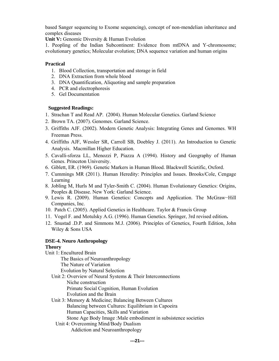based Sanger sequencing to Exome sequencing), concept of non-mendelian inheritance and complex diseases

Unit V: Genomic Diversity & Human Evolution

1. Peopling of the Indian Subcontinent: Evidence from mtDNA and Y-chromosome; evolutionary genetics; Molecular evolution; DNA sequence variation and human origins

#### **Practical**

- 1. Blood Collection, transportation and storage in field
- 2. DNA Extraction from whole blood
- 3. DNA Quantification, Aliquoting and sample preparation
- 4. PCR and electrophoresis
- 5. Gel Documentation

### **Suggested Readings:**

- 1. Strachan T and Read AP. (2004). Human Molecular Genetics. Garland Science
- 2. Brown TA. (2007). Genomes. Garland Science.
- 3. Griffiths AJF. (2002). Modern Genetic Analysis: Integrating Genes and Genomes. WH Freeman Press.
- 4. Griffiths AJF, Wessler SR, Carroll SB, Doebley J. (2011). An Introduction to Genetic Analysis. Macmillan Higher Education.
- 5. Cavalli-sforza LL, Menozzi P, Piazza A (1994). History and Geography of Human Genes. Princeton University.
- 6. Giblett, ER. (1969). Genetic Markers in Human Blood. Blackwell Scietific, Oxford.
- 7. Cummings MR (2011). Human Heredity: Principles and Issues. Brooks/Cole, Cengage Learning
- 8. Jobling M, Hurls M and Tyler-Smith C. (2004). Human Evolutionary Genetics: Origins, Peoples & Disease. New York: Garland Science.
- 9. Lewis R. (2009). Human Genetics: Concepts and Application. The McGraw−Hill Companies, Inc.
- 10. Patch C. (2005). Applied Genetics in Healthcare. Taylor & Francis Group
- 11. Vogel F. and Motulsky A.G. (1996). Human Genetics. Springer, 3rd revised edition**.**
- 12. Snustad .D.P. and Simmons M.J. (2006). Principles of Genetics, Fourth Edition, John Wiley & Sons USA

### **DSE-4. Neuro Anthropology**

### **Theory**

- Unit 1: Encultured Brain The Basics of Neuroanthropology The Nature of Variation Evolution by Natural Selection Unit 2: Overview of Neural Systems & Their Interconnections Niche construction
	- Primate Social Cognition, Human Evolution
	- Evolution and the Brain
	- Unit 3: Memory & Medicine; Balancing Between Cultures Balancing between Cultures: Equilibrium in Capoeira Human Capacities, Skills and Variation Stone Age Body Image :Male embodiment in subsistence societies
		- Unit 4: Overcoming Mind/Body Dualism Addiction and Neuroanthropology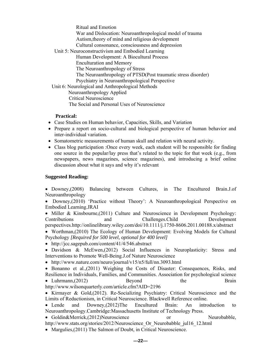Ritual and Emotion War and Dislocation: Neuroanthropological model of trauma Autism,theory of mind and religious development Cultural consonance, consciousness and depression Unit 5: Neuroconstructivism and Embodied Learning Human Development: A Biocultural Process Enculturation and Memory The Neuroanthropology of Stress The Neuroanthropology of PTSD(Post traumatic stress disorder) Psychiatry in Neuroanthropological Perspective Unit 6: Neurological and Anthropological Methods Neuroanthropology Applied Critical Neuroscience The Social and Personal Uses of Neuroscience

#### **Practical:**

- Case Studies on Human behavior, Capacities, Skills, and Variation
- Prepare a report on socio-cultural and biological perspective of human behavior and inter-individual variation.
- Somatometric measurements of human skull and relation with neural activity.
- Class blog participation :Once every week, each student will be responsible for finding one source in the popular/lay press that's related to the topic for that week (e.g., from newspapers, news magazines, science magazines), and introducing a brief online discussion about what it says and why it's relevant

#### **Suggested Reading:**

 Downey,(2008) Balancing between Cultures, in The Encultured Brain.J.of Neuroanthropology

• Downey,(2010) 'Practice without Theory': A Neuroanthropological Perspective on Embodied Learning.JRAI

 $\bullet$  Miller & Kinsbourne, (2011) Culture and Neuroscience in Development Psychology: Contributions and Challenges.Child Development perspectives.http://onlinelibrary.wiley.com/doi/10.1111/j.1750-8606.2011.00188.x/abstract

 Worthman,(2010) The Ecology of Human Development: Evolving Models for Cultural Psychology *[Required for 500 level, optional for 400 level]* 

• http://jcc.sagepub.com/content/41/4/546.abstract

 Davidson & McEwen,(2012) Social Influences in Neuroplasticity: Stress and Interventions to Promote Well-Being.J.of Nature Neuroscience

http://www.nature.com/neuro/journal/v15/n5/full/nn.3093.html

• Bonanno et al.,(2011) Weighing the Costs of Disaster: Consequences, Risks, and Resilience in Individuals, Families, and Communities. Association for psychological science • Luhrmann,(2012) Beyond the Brain http://www.wilsonquarterly.com/article.cfm?AID=2196

• Kirmayer & Gold,  $(2012)$ . Re-Socializing Psychiatry: Critical Neuroscience and the Limits of Reductionism, in Critical Neuroscience. Blackwell Reference online.

 Lende and Downey,(2012)The Encultured Brain: An introduction to Neuroanthropology.Cambridge:Massachusetts Institute of Technology Press.

• Goldin&Merrick,(2012)Neuroscience or or Neurobabble, http://www.stats.org/stories/2012/Neuroscience\_Or\_Neurobabble\_jul16\_12.html

• Margulies,(2011) The Salmon of Doubt, in Critical Neuroscience.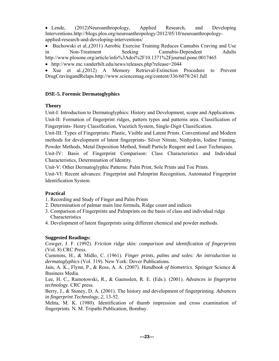• Lende, (2012)Neuroanthropology, Applied Research, and Developing Interventions.http://blogs.plos.org/neuroanthropology/2012/05/10/neuroanthropologyapplied-research-and-developing-interventions/

 Buchowski et al.,(2011) Aerobic Exercise Training Reduces Cannabis Craving and Use in Non-Treatment Seeking Cannabis-Dependent Adults http://www.plosone.org/article/info%3Adoi%2F10.1371%2Fjournal.pone.0017465

http://www.mc.vanderbilt.edu/news/releases.php?release=2044

 Xue et al.,(2012) A Memory Retrieval-Extinction Procedure to Prevent DrugCravingandRelaps.http://www.sciencemag.org/content/336/6078/241.full

### **DSE-5. Forensic Dermatoglyphics**

### **Theory**

Unit-I: Introduction to Dermatoglyphics: History and Development, scope and Applications. Unit-II: Formation of fingerprint ridges, pattern types and patterns area. Classification of Fingerprints- Henry Classification, Vucetich System, Single-Digit Classification.

Unit-III: Types of Fingerprints: Plastic, Visible and Latent Prints. Conventional and Modern methods for development of latent fingerprints- Silver Nitrate, Ninhydrin, Iodine Fuming, Powder Methods, Metal Deposition Method, Small Particle Reagent and Laser Techniques.

Unit-IV: Basis of Fingerprint Comparison: Class Characteristics and Individual Characteristics, Determination of Identity.

Unit-V: Other Dermatoglyphic Patterns: Palm Print, Sole Prints and Toe Prints.

Unit-VI: Recent advances: Fingerprint and Palmprint Recognition, Automated Fingerprint Identification System.

### **Practical**

- 1. Recording and Study of Finger and Palm Prints
- 2. Determination of palmar main line formula, Ridge count and indices
- 3. Comparison of Fingerprints and Palmprints on the basis of class and individual ridge **Characteristics**
- 4. Development of latent fingerprints using different chemical and powder methods.

### **Suggested Readings:**

Cowger, J. F. (1992). *Friction ridge skin: comparison and identification of fingerprints* (Vol. 8) CRC Press.

Cummins, H., & Midlo, C. (1961). *Finger prints, palms and soles: An introduction to dermatoglyphics* (Vol. 319). New York: Dover Publications.

Jain, A. K., Flynn, P., & Ross, A. A. (2007). *Handbook of biometrics*. Springer Science & Business Media.

Lee, H. C., Ramotowski, R., & Gaensslen, R. E. (Eds.). (2001). *Advances in fingerprint technology*. CRC press.

Berry, J., & Stoney, D. A. (2001). The history and development of fingerprinting. *Advances in fingerprint Technology*, *2*, 13-52.

Mehta, M. K. (1980). Identification of thumb impression and cross examination of fingerprints. N. M. Tripathi Publication, Bombay.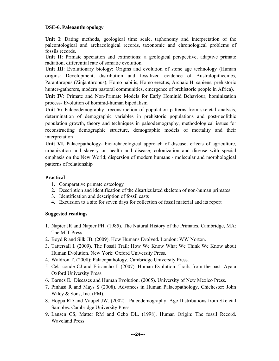#### **DSE-6. Paleoanthropology**

**Unit I**: Dating methods, geological time scale, taphonomy and interpretation of the paleontological and archaeological records, taxonomic and chronological problems of fossils records.

**Unit II:** Primate speciation and extinctions: a geological perspective, adaptive primate radiation, differential rate of somatic evolution.

**Unit III**: Evolutionary biology: Origins and evolution of stone age technology (Human origins: Development, distribution and fossilized evidence of Australopithecines, Paranthropus (Zinjanthropus), Homo habilis, Homo erectus, Archaic H. sapiens, prehistoric hunter-gatherers, modern pastoral communities, emergence of prehistoric people in Africa).

**Unit IV:** Primate and Non-Primate Models for Early Hominid Behaviour; hominization process- Evolution of hominid-human bipedalism

Unit V: Palaeodemography- reconstruction of population patterns from skeletal analysis, determination of demographic variables in prehistoric populations and post-neolithic population growth, theory and techniques in paleodemography, methodological issues for reconstructing demographic structure, demographic models of mortality and their interpretation

**Unit VI.** Palaeopathology- bioarchaeological approach of disease; effects of agriculture, urbanization and slavery on health and disease; colonization and disease with special emphasis on the New World; dispersion of modern humans - molecular and morphological patterns of relationship

### **Practical**

- 1. Comparative primate osteology
- 2. Description and identification of the disarticulated skeleton of non-human primates
- 3. Identification and description of fossil casts
- 4. Excursion to a site for seven days for collection of fossil material and its report

#### **Suggested readings**

- 1. Napier JR and Napier PH. (1985). The Natural History of the Primates. Cambridge, MA: The MIT Press
- 2. Boyd R and Silk JB. (2009). How Humans Evolved. London: WW Norton.
- 3. Tattersall I. (2009). The Fossil Trail: How We Know What We Think We Know about Human Evolution. New York: Oxford University Press.
- 4. Waldron T. (2008): Palaeopathology. Cambridge University Press.
- 5. Cela-conde CJ and Frisancho J. (2007). Human Evolution: Trails from the past. Ayala Oxford University Press.
- 6. Barnes E. Diseases and Human Evolution. (2005). University of New Mexico Press.
- 7. Pinhasi R and Mays S (2008). Advances in Human Palaeopathology. Chichester: John Wiley & Sons, Inc. (PM).
- 8. Hoppa RD and Vaupel JW. (2002). Paleodemography: Age Distributions from Skeletal Samples. Cambridge University Press.
- 9. Lansen CS, Matter RM and Gebo DL. (1998). Human Origin: The fossil Record. Waveland Press.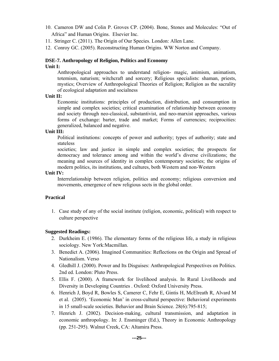- 10. Cameron DW and Colin P. Groves CP. (2004). Bone, Stones and Molecules: "Out of Africa" and Human Origins. Elsevier Inc.
- 11. Stringer C. (2011). The Origin of Our Species. London: Allen Lane.
- 12. Conroy GC. (2005). Reconstructing Human Origins. WW Norton and Company.

#### **DSE-7. Anthropology of Religion, Politics and Economy**

#### **Unit I:**

Anthropological approaches to understand religion- magic, animism, animatism, totemism, naturism; witchcraft and sorcery; Religious specialists: shaman, priests, mystics; Overview of Anthropological Theories of Religion; Religion as the sacrality of ecological adaptation and socialness

#### **Unit II:**

Economic institutions: principles of production, distribution, and consumption in simple and complex societies; critical examination of relationship between economy and society through neo-classical, substantivist, and neo-marxist approaches, various forms of exchange: barter, trade and market; Forms of currencies; reciprocities: generalized, balanced and negative.

#### **Unit III:**

Political institutions: concepts of power and authority; types of authority; state and stateless

societies; law and justice in simple and complex societies; the prospects for democracy and tolerance among and within the world's diverse civilizations; the meaning and sources of identity in complex contemporary societies; the origins of modern politics, its institutions, and cultures, both Western and non-Western

#### **Unit IV:**

Interrelationship between religion, politics and economy; religious conversion and movements, emergence of new religious sects in the global order.

#### **Practical**

1. Case study of any of the social institute (religion, economic, political) with respect to culture perspective

#### **Suggested Readings:**

- 2. Durkheim E. (1986). The elementary forms of the religious life, a study in religious sociology. New York:Macmillan.
- 3. Benedict A. (2006). Imagined Communities: Reflections on the Origin and Spread of Nationalism. Verso
- 4. Gledhill J. (2000). Power and Its Disguises: Anthropological Perspectives on Politics. 2nd ed. London: Pluto Press.
- 5. Ellis F. (2000). A framework for livelihood analysis. In Rural Livelihoods and Diversity in Developing Countries . Oxford: Oxford University Press.
- 6. Henrich J, Boyd R, Bowles S, Camerer C, Fehr E, Gintis H, McElreath R, Alvard M et al. (2005). 'Economic Man' in cross-cultural perspective: Behavioral experiments in 15 small-scale societies. Behavior and Brain Science. 28(6):795-815;
- 7. Henrich J. (2002). Decision-making, cultural transmission, and adaptation in economic anthropology. In: J. Ensminger (Ed.), Theory in Economic Anthropology (pp. 251-295). Walnut Creek, CA: Altamira Press.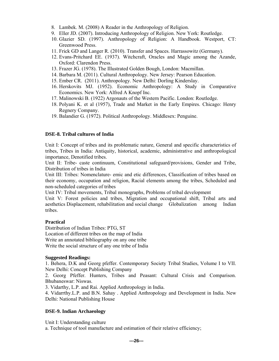- 8. Lambek. M. (2008) A Reader in the Anthropology of Religion.
- 9. Eller JD. (2007). Introducing Anthropology of Religion. New York: Routledge.
- 10. Glazier SD. (1997). Anthropology of Religion: A Handbook. Westport, CT: Greenwood Press.
- 11. Frick GD and Langer R. (2010). Transfer and Spaces. Harrassowitz (Germany).
- 12. Evans-Pritchard EE. (1937). Witchcraft, Oracles and Magic among the Azande, Oxford: Clarendon Press.
- 13. Frazer JG. (1978). The Illustrated Golden Bough, London: Macmillan.
- 14. Barbara M. (2011). Cultural Anthropology. New Jersey: Pearson Education.
- 15. Ember CR. (2011). Anthropology. New Delhi: Dorling Kinderslay.
- 16. Herskovits MJ. (1952). Economic Anthropology: A Study in Comparative Economics. New York: Alfred A Knopf Inc.
- 17. Malinowski B. (1922) Argonauts of the Western Pacific. London: Routledge.
- 18. Polyani K. et al (1957), Trade and Market in the Early Empires. Chicago: Henry Regnery Company.
- 19. Balandier G. (1972). Political Anthropology. Middlesex: Penguine.

#### **DSE-8. Tribal cultures of India**

Unit I: Concept of tribes and its problematic nature, General and specific characteristics of tribes, Tribes in India: Antiquity, historical, academic, administrative and anthropological importance, Denotified tribes.

Unit II: Tribe- caste continuum, Constitutional safeguard/provisions, Gender and Tribe, Distribution of tribes in India

Unit III: Tribes: Nomenclature- emic and etic differences, Classification of tribes based on their economy, occupation and religion, Racial elements among the tribes, Scheduled and non-scheduled categories of tribes

Unit IV: Tribal movements, Tribal monographs, Problems of tribal development

Unit V: Forest policies and tribes, Migration and occupational shift, Tribal arts and aesthetics Displacement, rehabilitation and social change Globalization among Indian tribes.

#### **Practical**

Distribution of Indian Tribes: PTG, ST Location of different tribes on the map of India Write an annotated bibliography on any one tribe Write the social structure of any one tribe of India

#### **Suggested Readings:**

1. Behera, D.K and Georg pfeffer. Contemporary Society Tribal Studies, Volume I to VII. New Delhi: Concept Publishing Company

2. Georg Pfeffer. Hunters, Tribes and Peasant: Cultural Crisis and Comparison. Bhubaneswar: Niswas.

3. Vidarthy, L.P. and Rai. Applied Anthropology in India.

4. Vidarrthy.L.P. and B.N. Sahay . Applied Anthropology and Development in India. New Delhi: National Publishing House

#### **DSE-9. Indian Archaeology**

Unit I: Understanding culture

a. Technique of tool manufacture and estimation of their relative efficiency;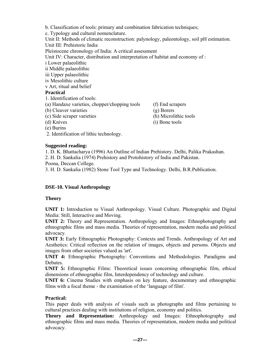b. Classification of tools: primary and combination fabrication techniques; c. Typology and cultural nomenclature. Unit II: Methods of climatic reconstruction: palynology, paleontology, soil pH estimation. Unit III: Prehistoric India Pleistocene chronology of India: A critical assessment Unit IV: Character, distribution and interpretation of habitat and economy of : i Lower palaeolithic ii Middle palaeolithic iii Upper palaeolithic iv Mesolithic culture v Art, ritual and belief **Practical**  1. Identification of tools: (a) Handaxe varieties, chopper/chopping tools (f) End scrapers (b) Cleaver varieties (g) Borers (c) Side scraper varieties (h) Microlithic tools

- 
- (d) Knives (i) Bone tools
- (e) Burins
- 2. Identification of lithic technology.

#### **Suggested reading:**

1. D. K. Bhattacharya (1996) An Outline of Indian Prehistory. Delhi, Palika Prakashan.

2. H. D. Sankalia (1974) Prehistory and Protohistory of India and Pakistan.

Poona, Deccan College.

3. H. D. Sankalia (1982) Stone Tool Type and Technology. Delhi, B.R.Publication.

#### **DSE-10. Visual Anthropology**

#### **Theory**

**UNIT 1:** Introduction to Visual Anthropology. Visual Culture. Photographic and Digital Media: Still, Interactive and Moving.

**UNIT 2:** Theory and Representation. Anthropology and Images: Ethnophotography and ethnographic films and mass media. Theories of representation, modern media and political advocacy.

**UNIT 3:** Early Ethnographic Photography: Contexts and Trends. Anthropology of Art and Aesthetics: Critical reflection on the relation of images, objects and persons. Objects and images from other societies valued as 'art'.

**UNIT 4:** Ethnographic Photography: Conventions and Methodologies. Paradigms and Debates.

**UNIT 5:** Ethnographic Films: Theoretical issues concerning ethnographic film, ethical dimensions of ethnographic film, Interdependency of technology and culture.

**UNIT 6:** Cinema Studies with emphasis on key feature, documentary and ethnographic films with a focal theme - the examination of the 'language of film'.

#### **Practical:**

This paper deals with analysis of visuals such as photographs and films pertaining to cultural practices dealing with institutions of religion, economy and politics.

**Theory and Representation:** Anthropology and Images: Ethnophotography and ethnographic films and mass media. Theories of representation, modern media and political advocacy.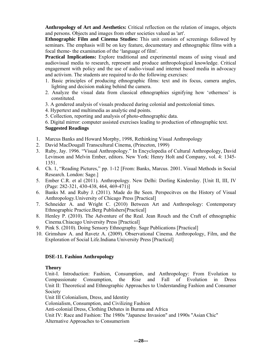**Anthropology of Art and Aesthetics:** Critical reflection on the relation of images, objects and persons. Objects and images from other societies valued as 'art'.

**Ethnographic Film and Cinema Studies:** This unit consists of screenings followed by seminars. The emphasis will be on key feature, documentary and ethnographic films with a focal theme- the examination of the 'language of film'.

**Practical Implications:** Explore traditional and experimental means of using visual and audiovisual media to research, represent and produce anthropological knowledge. Critical engagement with policy and the use of audio-visual and internet based media in advocacy and activism. The students are required to do the following exercises:

- 1. Basic principles of producing ethnographic films: text and its focus, camera angles, lighting and decision making behind the camera.
- 2. Analyze the visual data from classical ethnographies signifying how 'otherness' is constituted.
- 3. A gendered analysis of visuals produced during colonial and postcolonial times.
- 4. Hypertext and multimedia as analytic end points.
- 5. Collection, reporting and analysis of photo-ethnographic data.

6. Digital mirror: computer assisted exercises leading to production of ethnographic text.

#### **Suggested Readings**

- 1. Marcus Banks and Howard Morphy, 1998, Rethinking Visual Anthropology
- 2. David MacDougall Transcultural Cinema, (Princeton, 1999)
- 3. Ruby, Jay. 1996. "Visual Anthropology." In Encyclopedia of Cultural Anthropology, David Levinson and Melvin Ember, editors. New York: Henry Holt and Company, vol. 4: 1345- 1351.
- 4. Ch. 1, "Reading Pictures," pp. 1-12 [From: Banks, Marcus. 2001. Visual Methods in Social Research. London: Sage.]
- 5. Ember C.R. et al (2011). Anthropology. New Delhi: Dorling Kinderslay. [Unit II, III, IV (Page: 282-321, 430-438, 464, 469-471)]
- 6. Banks M. and Ruby J. (2011). Made do Be Seen. Perspecitves on the History of Visual Anthropology.University of Chicago Press [Practical]
- 7. Schneider A. and Wright C. (2010) Between Art and Anthropology: Contemporary Ethnographic Practice.Berg Publishers[Practical]
- 8. Henley P. (2010). The Adventure of the Real. Jean Rouch and the Craft of ethnographic Cinema.Chiacago University Press [Practical]
- 9. Pink S. (2010). Doing Sensory Ethnography. Sage Publications [Practical]
- 10. Grimshaw A. and Ravetz A. (2009). Observational Cinema. Anthropology, Film, and the Exploration of Social Life.Indiana University Press [Practical]

### **DSE-11. Fashion Anthropology**

#### **Theory**

Unit-I. Introduction: Fashion, Consumption, and Anthropology: From Evolution to Compassionate Consumption, the Rise and Fall of Evolution in Dress Unit II: Theoretical and Ethnographic Approaches to Understanding Fashion and Consumer Society

Unit III Colonialism, Dress, and Identity

Colonialism, Consumption, and Civilizing Fashion

Anti-colonial Dress, Clothing Debates in Burma and Africa

Unit IV: Race and Fashion: The 1980s "Japanese Invasion" and 1990s "Asian Chic"

Alternative Approaches to Consumerism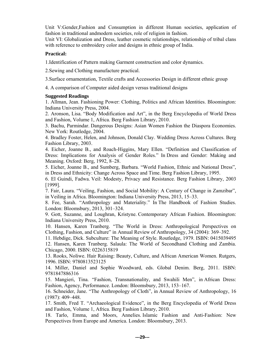Unit V:Gender,Fashion and Consumption in different Human societies, application of fashion in traditional andmodern societies, role of religion in fashion.

Unit VI: Globalization and Dress, leather cosmetic relationships, relationship of tribal clans with reference to embroidery color and designs in ethnic group of India.

#### **Practical:**

1.Identification of Pattern making Garment construction and color dynamics.

2.Sewing and Clothing manufacture practical.

3.Surface ornamentation, Textile crafts and Accessories Design in different ethnic group

4. A comparison of Computer aided design versus traditional designs

#### **Suggested Readings**

1. Allman, Jean. Fashioning Power: Clothing, Politics and African Identities. Bloomington: Indiana University Press, 2004.

2. Aronson, Lisa. "Body Modification and Art", in the Berg Encyclopedia of World Dress and Fashion, Volume 1, Africa. Berg Fashion Library, 2010.

3. Bachu, Parmindar. Dangerous Designs: Asian Women Fashion the Diaspora Economies. New York: Routledge, 2004.

4. Bradley Foster, Helen, and Johnson, Donald Clay. Wedding Dress Across Cultures. Berg Fashion Library, 2003.

4. Eicher, Joanne B., and Roach-Higgins, Mary Ellen. "Definition and Classification of Dress: Implications for Analysis of Gender Roles." In Dress and Gender: Making and Meaning. Oxford: Berg, 1992, 8–28.

5. Eicher, Joanne B., and Sumberg, Barbara. "World Fashion, Ethnic and National Dress", in Dress and Ethnicity: Change Across Space and Time. Berg Fashion Library, 1995.

6. El Guindi, Fadwa. Veil: Modesty, Privacy and Resistance. Berg Fashion Library, 2003 [1999].

7. Fair, Laura. "Veiling, Fashion, and Social Mobility: A Century of Change in Zamzibar", in Veiling in Africa. Bloomington: Indiana University Press, 2013, 15–33.

8. Fee, Sarah. "Anthropology and Materiality." In The Handbook of Fashion Studies. London: Bloomsbury, 2013, 301–324.

9. Gott, Suzanne, and Loughran, Kristyne. Contemporary African Fashion. Bloomington: Indiana University Press, 2010.

10. Hansen, Karen Tranberg. "The World in Dress: Anthropological Perspectives on Clothing, Fashion, and Culture" in Annual Review of Anthropology, 34 (2004): 369–392.

11. Hebdige, Dick. Subculture: The Meaning of Style. Routledge, 1979. ISBN: 0415039495 12. Hansen, Karen Tranberg. Salaula: The World of Secondhand Clothing and Zambia. Chicago, 2000. ISBN: 0226315819

13. Rooks, Noliwe. Hair Raising: Beauty, Culture, and African American Women. Rutgers, 1996. ISBN: 9780813523125

14. Miller, Daniel and Sophie Woodward, eds. Global Denim. Berg, 2011. ISBN: 9781847886316

15. Mangieri, Tina. "Fashion, Transnationality, and Swahili Men", in African Dress: Fashion, Agency, Performance. London: Bloomsbury, 2013, 153–167.

16. Schneider, Jane. "The Anthropology of Cloth", in Annual Review of Anthropology, 16 (1987): 409–448.

17. Smith, Fred T. "Archaeological Evidence", in the Berg Encyclopedia of World Dress and Fashion, Volume 1, Africa. Berg Fashion Library, 2010.

18. Tarlo, Emma, and Moors, Annelies. Islamic Fashion and Anti-Fashion: New Perspectives from Europe and America. London: Bloomsbury, 2013.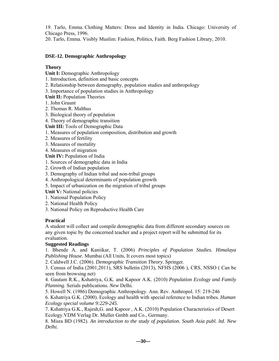19. Tarlo, Emma. Clothing Matters: Dress and Identity in India. Chicago: University of Chicago Press, 1996.

20. Tarlo, Emma. Visibly Muslim: Fashion, Politics, Faith. Berg Fashion Library, 2010.

### **DSE-12. Demographic Anthropology**

### **Theory**

**Unit I:** Demographic Anthropology

- 1. Introduction, definition and basic concepts
- 2. Relationship between demography, population studies and anthropology
- 3. Importance of population studies in Anthropology
- **Unit II:** Population Theories
- 1. John Graunt
- 2. Thomas R. Malthus
- 3. Biological theory of population
- 4. Theory of demographic transition
- **Unit III:** Tools of Demographic Data
- 1. Measures of population composition, distribution and growth
- 2. Measures of fertility
- 3. Measures of mortality
- 4. Measures of migration
- **Unit IV:** Population of India
- 1. Sources of demographic data in India
- 2. Growth of Indian population
- 3. Demography of Indian tribal and non-tribal groups
- 4. Anthropological determinants of population growth
- 5. Impact of urbanization on the migration of tribal groups

**Unit V:** National policies

- 1. National Population Policy
- 2. National Health Policy
- 3. National Policy on Reproductive Health Care

# **Practical**

A student will collect and compile demographic data from different secondary sources on any given topic by the concerned teacher and a project report will be submitted for its evaluation.

# **Suggested Readings**

1. Bhende A. and Kaniikar, T. (2006) *Principles of Population Studies. Himalaya Publishing House.* Mumbai (All Units, It covers most topics)

2. Caldwell J.C. (2006). *Demographic Transition Theory*. Springer.

3. Census of India (2001,2011), SRS bulletin (2013), NFHS (2006 ), CRS, NSSO ( Can be seen from browsing net)

4. Gautam R.K., Kshatriya, G.K. and Kapoor A.K. (2010) *Population Ecology and Family Planning*. Serials publications*. New* Delhi*.* 

5. Howell N. (1986) Demographic Anthropology. Ann. Rev. Anthropol. 15: 219-246

6. Kshatriya G.K*.* (2000). Ecology and health with special reference to Indian tribes*. Human Ecology special volume 9:229-245.* 

7. Kshatriya G.K., Rajesh,G. and Kapoor , A.K. (2010) Population Characteristics of Desert Ecology.VDM Verlag Dr. Muller Gmbh and Co., Germany.

8. Misra BD (1982). *An introduction to the study of population. South Asia publ. ltd. New Delhi.*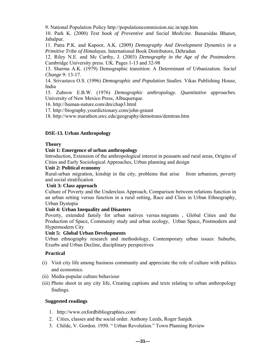9. National Population Policy http://populationcommission.nic.in/npp.htm

10. Park K. (2000) *Text book of Preventive and Social Medicine*. Banarsidas Bhanot, Jabalpur.

11. Patra P.K. and Kapoor, A.K. (2009*) Demography And Development Dynamics in a Primitive Tribe of Himalayas.* International Book Distributors, Dehradun

12. Riley N.E. and Mc Carthy, J. (2003) *Demography in the Age of the Postmodern*. Cambridge University press. UK. Pages 1-13 and 32-98

13. Sharma A.K. (1979) Demographic transition: A Determinant of Urbanization*. Social Change* 9: 13-17.

14. Srivastava O.S. (1996) *Demographic and Population Studies*. Vikas Publishing House, India

15. Zubrow E.B.W. (1976) *Demographic anthropology. Quantitative approaches.*  University of New Mexico Press, Albuquerque.

16. http://human-nature.com/dm/chap3.html

17. http://biography.yourdictionary.com/john-graunt

18. http://www.marathon.uwc.edu/geography/demotrans/demtran.htm

#### **DSE-13. Urban Anthropology**

#### **Theory**

#### **Unit 1: Emergence of urban anthropology**

Introduction, Extension of the anthropological interest in peasants and rural areas, Origins of Cities and Early Sociological Approaches, Urban planning and design

#### **Unit 2: Political economy**

Rural-urban migration, kinship in the city, problems that arise from urbanism, poverty and social stratification

#### **Unit 3: Class approach**

Culture of Poverty and the Underclass Approach, Comparison between relations function in an urban setting versus function in a rural setting, Race and Class in Urban Ethnography, Urban Dystopia

#### **Unit 4: Urban Inequality and Disasters**

Poverty, extended family for urban natives versus migrants , Global Cities and the Production of Space, Community study and urban ecology, Urban Space, Postmodern and Hypermodern City

#### **Unit 5: Global Urban Developments**

Urban ethnography research and methodology, Contemporary urban issues: Suburbs, Exurbs and Urban Decline, disciplinary perspectives

#### **Practical**

- (i) Visit city life among business community and appreciate the role of culture with politics and economics.
- (ii) Media-popular culture behaviour
- (iii) Photo shoot in any city life, Creating captions and texts relating to urban anthropology findings.

#### **Suggested readings**

- 1. http://www.oxfordbibliographies.com/
- 2. Cities, classes and the social order. Anthony Leeds, Roger Sanjek
- 3. Childe, V. Gordon. 1950. " Urban Revolution." Town Planning Review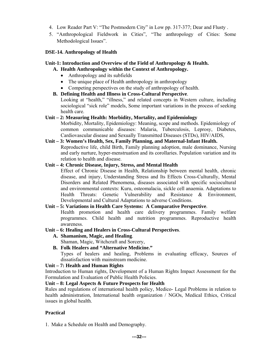- 4. Low Reader Part V: "The Postmodern City" in Low pp. 317-377; Dear and Flusty .
- 5. "Anthropological Fieldwork in Cities", "The anthropology of Cities: Some Methodological Issues".

#### **DSE-14. Anthropology of Health**

#### **Unit-1: Introduction and Overview of the Field of Anthropology & Health.**

- **A. Health Anthropology within the Context of Anthropology.** 
	- Anthropology and its subfields
	- The unique place of Health anthropology in anthropology
	- Competing perspectives on the study of anthropology of health.
- **B. Defining Health and Illness in Cross-Cultural Perspective**. Looking at "health," "illness," and related concepts in Western culture, including sociological "sick role" models, Some important variations in the process of seeking health care.

#### **Unit – 2: Measuring Health: Morbidity, Mortality, and Epidemiology**

Morbidity, Mortality, Epidemiology: Meaning, scope and methods. Epidemiology of common communicable diseases: Malaria, Tuberculosis, Leprosy, Diabetes, Cardiovascular disease and Sexually Transmitted Diseases (STDs), HIV/AIDS,

#### **Unit – 3: Women's Health, Sex, Family Planning, and Maternal-Infant Health.**

Reproductive life, child Birth, Family planning adoption, male dominance, Nursing and early nurture, hyper-menstruation and its corollaries. Population variation and its relation to health and disease.

#### **Unit – 4: Chronic Disease, Injury, Stress, and Mental Health**

Effect of Chronic Disease in Health, Relationship between mental health, chronic disease, and injury, Understanding Stress and Its Effects Cross-Culturally, Mental Disorders and Related Phenomena, diseases associated with specific sociocultural and environmental contexts: Kuru, osteomalacia, sickle cell anaemia. Adaptations to Health Threats: Genetic Vulnerability and Resistance & Environment, Developmental and Cultural Adaptations to adverse Conditions.

#### **Unit – 5: Variations in Health Care Systems: A Comparative Perspective**.

Health promotion and health care delivery programmes. Family welfare programmes. Child health and nutrition programmes. Reproductive health awareness.

#### **Unit – 6: Healing and Healers in Cross-Cultural Perspectives**.

**A. Shamanism, Magic, and Healing**.

Shaman, Magic, Witchcraft and Sorcery,

**B. Folk Healers and "Alternative Medicine."** Types of healers and healing, Problems in evaluating efficacy, Sources of dissatisfaction with mainstream medicine.

#### **Unit – 7: Health and Human Rights**

Introduction to Human rights, Development of a Human Rights Impact Assessment for the Formulation and Evaluation of Public Health Policies.

**Unit – 8: Legal Aspects & Future Prospects for Health** 

Rules and regulations of international health policy, Medico- Legal Problems in relation to health administration, International health organization / NGOs, Medical Ethics, Critical issues in global health.

#### **Practical**

1. Make a Schedule on Health and Demography.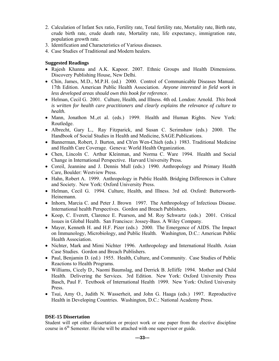- 2. Calculation of Infant Sex ratio, Fertility rate, Total fertility rate, Mortality rate, Birth rate, crude birth rate, crude death rate, Mortality rate, life expectancy, immigration rate, population growth rate.
- 3. Identification and Characteristics of Various diseases.
- 4. Case Studies of Traditional and Modern healers.

### **Suggested Readings**

- Rajesh Khanna and A.K. Kapoor. 2007. Ethnic Groups and Health Dimensions. Discovery Publishing House, New Delhi.
- Chin, James, M.D., M.P.H. (ed.) 2000. Control of Communicable Diseases Manual. 17th Edition. American Public Health Association. *Anyone interested in field work in less developed areas should own this book for reference.*
- Helman, Cecil G. 2001. Culture, Health, and Illness. 4th ed. London: Arnold. *This book is written for health care practitioners and clearly explains the relevance of culture to health.*
- Mann, Jonathon M., et al. (eds.) 1999. Health and Human Rights. New York: Routledge.
- Albrecht, Gary L., Ray Fitzparick, and Susan C. Scrimshaw (eds.) 2000. The Handbook of Social Studies in Health and Medicine, SAGE.Publications.
- Bannerman, Robert, J. Burton, and Ch'en Wen-Chieh (eds.) 1983. Traditional Medicine and Health Care Coverage. Geneva: World Health Organization.
- Chen, Lincoln C. Arthur Kleinman, and Norma C. Ware 1994. Health and Social Change in International Perspective. Harvard University Press.
- Coreil, Jeannine and J. Dennis Mull (eds.) 1990. Anthropology and Primary Health Care, Boulder: Westview Press.
- Hahn, Robert A. 1999. Anthropology in Public Health. Bridging Differences in Culture and Society. New York: Oxford University Press.
- Helman, Cecil G. 1994. Culture, Health, and Illness. 3rd ed. Oxford: Butterworth-Heinemann.
- Inhorn, Marcia C. and Peter J. Brown 1997. The Anthropology of Infectious Disease. International health Perspectives. Gordon and Breach Publishers.
- Koop, C. Everett, Clarence E. Pearson, and M. Roy Schwartz (eds.) 2001. Critical Issues in Global Health. San Francisco: Jossey-Bass. A Wiley Company.
- Mayer, Kenneth H. and H.F. Pizer (eds.) 2000. The Emergence of AIDS. The Impact on Immunology, Microbiology, and Public Health. Washington, D.C.: American Public Health Association.
- Nichter, Mark and Mimi Nichter 1996. Anthropology and International Health. Asian Case Studies. Gordon and Breach Publishers.
- Paul, Benjamin D. (ed.) 1955. Health, Culture, and Community. Case Studies of Public Reactions to Health Programs.
- Williams, Cicely D., Naomi Baumslag, and Derrick B. Jelliffe 1994. Mother and Child Health. Delivering the Services. 3rd Edition. New York: Oxford University Press Basch, Paul F. Textbook of International Health 1999. New York: Oxford University Press.
- Tsui, Amy O., Judith N. Wasserheit, and John G. Haaga (eds.) 1997. Reproductive Health in Developing Countries. Washington, D.C.: National Academy Press.

#### **DSE-15 Dissertation**

Student will opt either dissertation or project work or one paper from the elective discipline course in  $6<sup>th</sup>$  Semester. He/she will be attached with one supervisor or guide.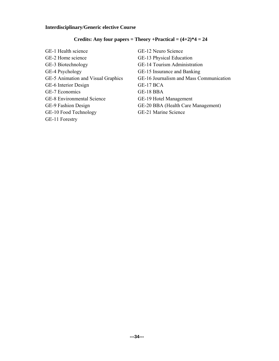# **Interdisciplinary/Generic elective Course**

# **Credits: Any four papers = Theory +Practical = (4+2)\*4 = 24**

| GE-1 Health science                | GE-12 Neuro Science                     |
|------------------------------------|-----------------------------------------|
| GE-2 Home science                  | GE-13 Physical Education                |
| GE-3 Biotechnology                 | GE-14 Tourism Administration            |
| GE-4 Psychology                    | GE-15 Insurance and Banking             |
| GE-5 Animation and Visual Graphics | GE-16 Journalism and Mass Communication |
| GE-6 Interior Design               | GE-17 BCA                               |
| GE-7 Economics                     | GE-18 BBA                               |
| <b>GE-8</b> Environmental Science  | GE-19 Hotel Management                  |
| GE-9 Fashion Design                | GE-20 BBA (Health Care Management)      |
| GE-10 Food Technology              | GE-21 Marine Science                    |
|                                    |                                         |

GE-11 Forestry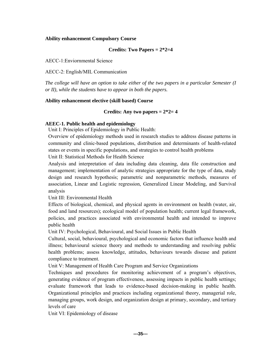#### **Ability enhancement Compulsory Course**

#### **Credits: Two Papers = 2\*2=4**

AECC-1:Enviornmental Science

AECC-2: English/MIL Communication

*The college will have an option to take either of the two papers in a particular Semester (I or II), while the students have to appear in both the papers.*

#### **Ability enhancement elective (skill based) Course**

#### **Credits: Any two papers = 2\*2= 4**

#### **AEEC-1. Public health and epidemiology**

Unit I: Principles of Epidemiology in Public Health:

Overview of epidemiology methods used in research studies to address disease patterns in community and clinic-based populations, distribution and determinants of health-related states or events in specific populations, and strategies to control health problems

Unit II: Statistical Methods for Health Science

Analysis and interpretation of data including data cleaning, data file construction and management; implementation of analytic strategies appropriate for the type of data, study design and research hypothesis; parametric and nonparametric methods, measures of association, Linear and Logistic regression, Generalized Linear Modeling, and Survival analysis

Unit III: Environmental Health

Effects of biological, chemical, and physical agents in environment on health (water, air, food and land resources); ecological model of population health; current legal framework, policies, and practices associated with environmental health and intended to improve public health

Unit IV: Psychological, Behavioural, and Social Issues in Public Health

Cultural, social, behavioural, psychological and economic factors that influence health and illness; behavioural science theory and methods to understanding and resolving public health problems; assess knowledge, attitudes, behaviours towards disease and patient compliance to treatment.

Unit V: Management of Health Care Program and Service Organizations

Techniques and procedures for monitoring achievement of a program's objectives, generating evidence of program effectiveness, assessing impacts in public health settings; evaluate framework that leads to evidence-based decision-making in public health. Organizational principles and practices including organizational theory, managerial role, managing groups, work design, and organization design at primary, secondary, and tertiary levels of care

Unit VI: Epidemiology of disease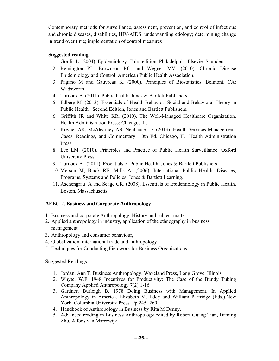Contemporary methods for surveillance, assessment, prevention, and control of infectious and chronic diseases, disabilities, HIV/AIDS; understanding etiology; determining change in trend over time; implementation of control measures

### **Suggested reading**

- 1. Gordis L. (2004). Epidemiology. Third edition. Philadelphia: Elsevier Saunders.
- 2. Remington PL, Brownson RC, and Wegner MV. (2010). Chronic Disease Epidemiology and Control. American Public Health Association.
- 3. Pagano M and Gauvreau K. (2000). Principles of Biostatistics. Belmont, CA: Wadsworth.
- 4. Turnock B. (2011). Public health. Jones & Bartlett Publishers.
- 5. Edberg M. (2013). Essentials of Health Behavior. Social and Behavioral Theory in Public Health. Second Edition, Jones and Bartlett Publishers.
- 6. Griffith JR and White KR. (2010). The Well-Managed Healthcare Organization. Health Administration Press: Chicago, IL.
- 7. Kovner AR, McAlearney AS, Neuhauser D. (2013). Health Services Management: Cases, Readings, and Commentary. 10th Ed. Chicago, IL: Health Administration Press.
- 8. Lee LM. (2010). Principles and Practice of Public Health Surveillance. Oxford University Press
- 9. Turnock B. (2011). Essentials of Public Health. Jones & Bartlett Publishers
- 10. Merson M, Black RE, Mills A. (2006). International Public Health: Diseases, Programs, Systems and Policies. Jones & Bartlett Learning.
- 11. Aschengrau A and Seage GR. (2008). Essentials of Epidemiology in Public Health. Boston, Massachusetts.

### **AEEC-2. Business and Corporate Anthropology**

- 1. Business and corporate Anthropology: History and subject matter
- 2. Applied anthropology in industry, application of the ethnography in business management
- 3. Anthropology and consumer behaviour,
- 4. Globalization, international trade and anthropology
- 5. Techniques for Conducting Fieldwork for Business Organizations

Suggested Readings:

- 1. Jordan, Ann T. Business Anthropology. Waveland Press, Long Grove, Illinois.
- 2. Whyte, W.F. 1948 Incentives for Productivity: The Case of the Bundy Tubing Company Applied Anthropology 7(2):1-16
- 3. Gardner, Burleigh B. 1978 Doing Business with Management. In Applied Anthropology in America, Elizabeth M. Eddy and William Partridge (Eds.).New York: Columbia University Press. Pp.245- 260.
- 4. Handbook of Anthropology in Business by Rita M Denny.
- 5. Advanced reading in Business Anthropology edited by Robert Guang Tian, Daming Zhu, Alfons van Marrewijk.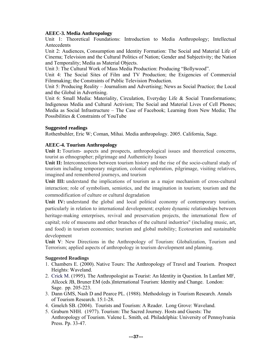#### **AEEC-3. Media Anthropology**

Unit 1: Theoretical Foundations: Introduction to Media Anthropology; Intellectual Antecedents

Unit 2: Audiences, Consumption and Identity Formation: The Social and Material Life of Cinema; Television and the Cultural Politics of Nation; Gender and Subjectivity; the Nation and Temporality; Media as Material Objects.

Unit 3: The Cultural Work of Mass Media Production: Producing "Bollywood".

Unit 4: The Social Sites of Film and TV Production; the Exigencies of Commercial Filmmaking; the Constraints of Public Television Production.

Unit 5: Producing Reality – Journalism and Advertising; News as Social Practice; the Local and the Global in Advertising.

Unit 6: Small Media: Materiality, Circulation, Everyday Life & Social Transformations; Indigenous Media and Cultural Activism; The Social and Material Lives of Cell Phones; Media as Social Infrastructure – The Case of Facebook; Learning from New Media; The Possibilities & Constraints of YouTube

#### **Suggested readings**

Rothenbuhler, Eric W; Coman, Mihai. Media anthropology. 2005. California, Sage.

#### **AEEC-4. Tourism Anthropology**

**Unit I:** Tourism- aspects and prospects, anthropological issues and theoretical concerns, tourist as ethnographer; pilgrimage and Authenticity Issues

**Unit II:** Interconnections between tourism history and the rise of the socio-cultural study of tourism including temporary migration, colonial exploration, pilgrimage, visiting relatives, imagined and remembered journeys, and tourism

**Unit III:** understand the implications of tourism as a major mechanism of cross-cultural interaction; role of symbolism, semiotics, and the imagination in tourism; tourism and the commodification of culture or cultural degradation

Unit IV: understand the global and local political economy of contemporary tourism, particularly in relation to international development; explore dynamic relationships between heritage-making enterprises, revival and preservation projects, the international flow of capital; role of museums and other branches of the cultural industries" (including music, art, and food) in tourism economies; tourism and global mobility; Ecotourism and sustainable development

**Unit V**: New Directions in the Anthropology of Tourism: Globalization, Tourism and Terrorism; applied aspects of anthropology in tourism development and planning.

#### **Suggested Readings**

- 1. Chambers E. (2000). Native Tours: The Anthropology of Travel and Tourism. Prospect Heights: Waveland.
- 2. Crick M. (1995). The Anthropologist as Tourist: An Identity in Question. In Lanfant MF, Allcock JB, Bruner EM (eds.)International Tourism: Identity and Change. London: Sage. pp. 205-223.
- 3. Dann GMS, Nash D and Pearce PL. (1988). Methodology in Tourism Research. Annals of Tourism Research. 15:1-28.
- 4. Gmelch SB. (2004). Tourists and Tourism: A Reader. Long Grove: Waveland.
- 5. Graburn NHH. (1977). Tourism: The Sacred Journey. Hosts and Guests: The Anthropology of Tourism. Valene L. Smith, ed. Philadelphia: University of Pennsylvania Press. Pp. 33-47.